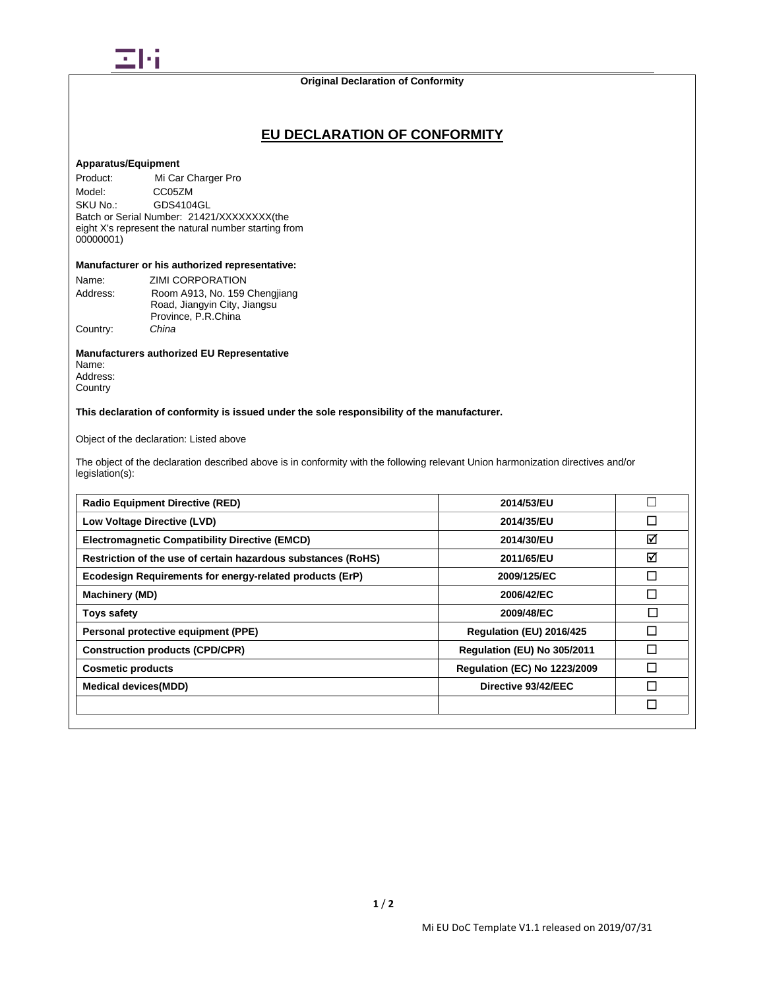

## **Original Declaration of Conformity**

## **EU DECLARATION OF CONFORMITY**

## **Apparatus/Equipment**

Product: Mi Car Charger Pro Model: CC05ZM<br>SKU No.: GDS4104 GDS4104GL Batch or Serial Number: 21421/XXXXXXXX(the eight X's represent the natural number starting from 00000001)

## **Manufacturer or his authorized representative:**

| Name:    | ZIMI CORPORATION              |
|----------|-------------------------------|
| Address: | Room A913, No. 159 Chengjiang |
|          |                               |
|          | Road, Jiangyin City, Jiangsu  |
|          | Province, P.R.China           |
| Country: | China                         |

## **Manufacturers authorized EU Representative**

Name: Address: **Country** 

**This declaration of conformity is issued under the sole responsibility of the manufacturer.**

Object of the declaration: Listed above

The object of the declaration described above is in conformity with the following relevant Union harmonization directives and/or legislation(s):

| <b>Radio Equipment Directive (RED)</b>                        | 2014/53/EU                          |              |
|---------------------------------------------------------------|-------------------------------------|--------------|
| Low Voltage Directive (LVD)                                   | 2014/35/EU                          | П            |
| <b>Electromagnetic Compatibility Directive (EMCD)</b>         | 2014/30/EU                          | ☑            |
| Restriction of the use of certain hazardous substances (RoHS) | 2011/65/EU                          | ☑            |
| Ecodesign Requirements for energy-related products (ErP)      | 2009/125/EC                         | $\mathsf{L}$ |
| <b>Machinery (MD)</b>                                         | 2006/42/EC                          | П            |
| <b>Toys safety</b>                                            | 2009/48/EC                          |              |
| Personal protective equipment (PPE)                           | Regulation (EU) 2016/425            | П            |
| <b>Construction products (CPD/CPR)</b>                        | Regulation (EU) No 305/2011         | П            |
| <b>Cosmetic products</b>                                      | <b>Requlation (EC) No 1223/2009</b> | П            |
| <b>Medical devices(MDD)</b>                                   | Directive 93/42/EEC                 | J            |
|                                                               |                                     | $\Box$       |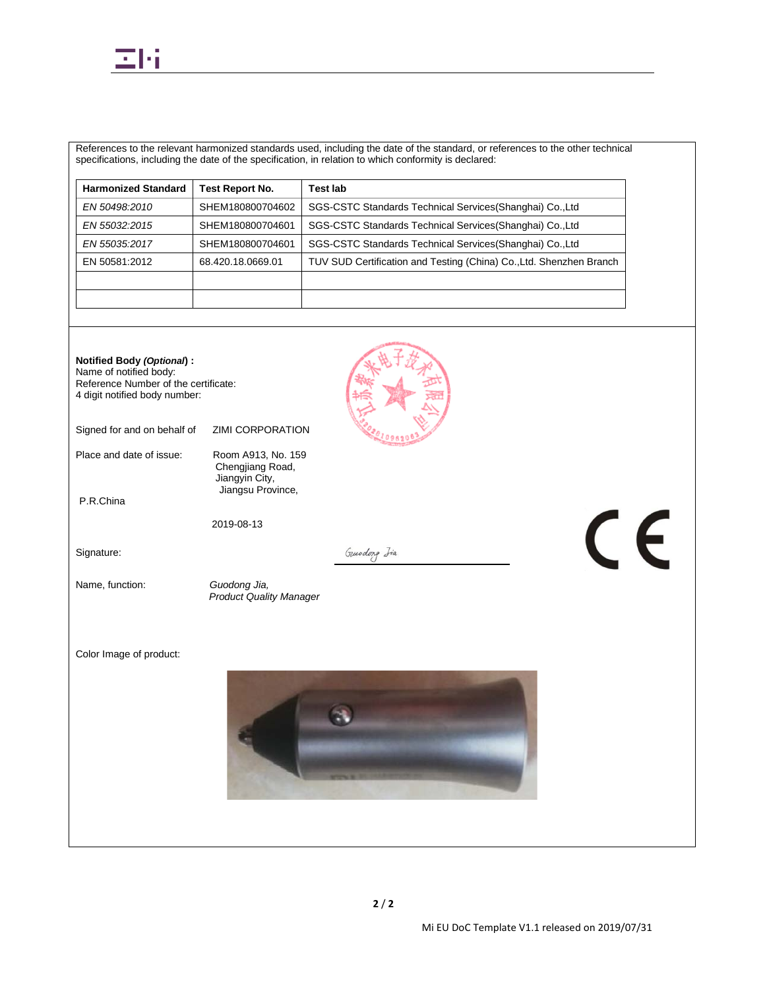

References to the relevant harmonized standards used, including the date of the standard, or references to the other technical specifications, including the date of the specification, in relation to which conformity is declared:

| <b>Harmonized Standard</b> | <b>Test Report No.</b> | Test lab                                                            |
|----------------------------|------------------------|---------------------------------------------------------------------|
| EN 50498:2010              | SHEM180800704602       | SGS-CSTC Standards Technical Services (Shanghai) Co., Ltd           |
| EN 55032:2015              | SHEM180800704601       | SGS-CSTC Standards Technical Services (Shanghai) Co., Ltd           |
| EN 55035:2017              | SHEM180800704601       | SGS-CSTC Standards Technical Services (Shanghai) Co., Ltd           |
| EN 50581:2012              | 68.420.18.0669.01      | TUV SUD Certification and Testing (China) Co., Ltd. Shenzhen Branch |
|                            |                        |                                                                     |
|                            |                        |                                                                     |

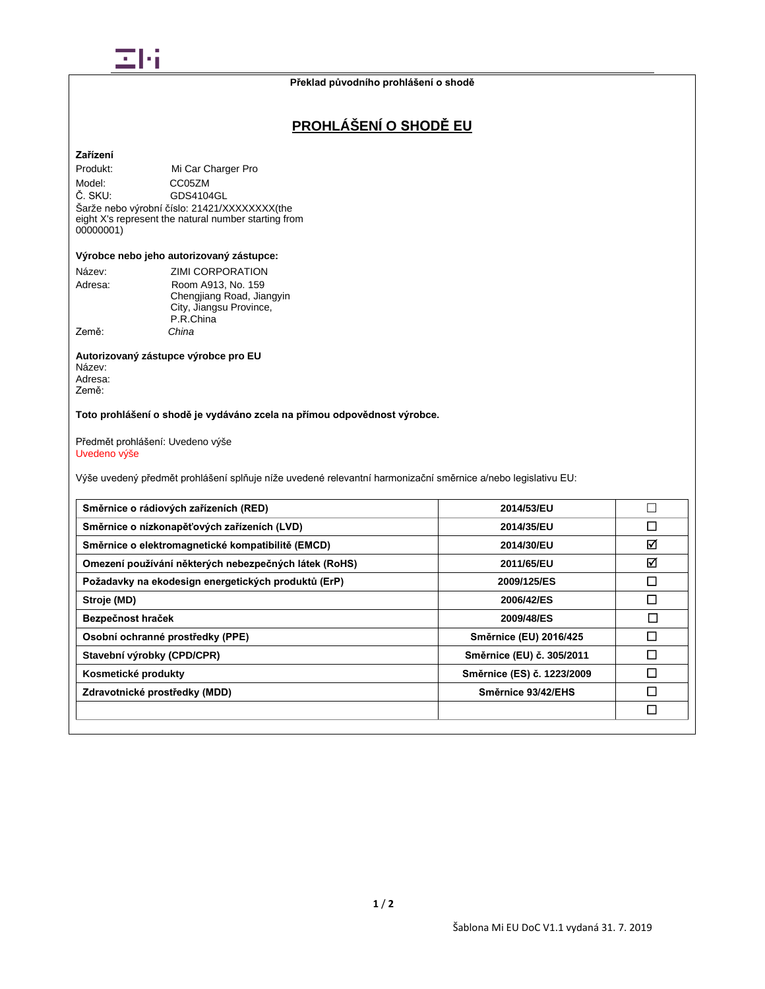

# **PROHLÁŠENÍ O SHODĚ EU**

## **Zařízení**

Produkt: Mi Car Charger Pro Model: CC05ZM<br>Č. SKU: GDS4104 GDS4104GL

Šarže nebo výrobní číslo: 21421/XXXXXXXX(the eight X's represent the natural number starting from 00000001)

## **Výrobce nebo jeho autorizovaný zástupce:**

| Název:  | <b>ZIMI CORPORATION</b>   |
|---------|---------------------------|
| Adresa: | Room A913, No. 159        |
|         | Chengjiang Road, Jiangyin |
|         | City, Jiangsu Province,   |
|         | P.R.China                 |
| Země:   | China                     |

#### **Autorizovaný zástupce výrobce pro EU** Název: Adresa: Země:

**Toto prohlášení o shodě je vydáváno zcela na přímou odpovědnost výrobce.**

Předmět prohlášení: Uvedeno výše Uvedeno výše

Výše uvedený předmět prohlášení splňuje níže uvedené relevantní harmonizační směrnice a/nebo legislativu EU:

| Směrnice o rádiových zařízeních (RED)                 | 2014/53/EU                 |        |
|-------------------------------------------------------|----------------------------|--------|
| Směrnice o nízkonapěťových zařízeních (LVD)           | 2014/35/EU                 |        |
| Směrnice o elektromagnetické kompatibilitě (EMCD)     | 2014/30/EU                 | ☑      |
| Omezení používání některých nebezpečných látek (RoHS) | 2011/65/EU                 | ☑      |
| Požadavky na ekodesign energetických produktů (ErP)   | 2009/125/ES                | П      |
| Stroje (MD)                                           | 2006/42/ES                 |        |
| Bezpečnost hraček                                     | 2009/48/ES                 | $\Box$ |
| Osobní ochranné prostředky (PPE)                      | Směrnice (EU) 2016/425     |        |
| Stavební výrobky (CPD/CPR)                            | Směrnice (EU) č. 305/2011  |        |
| Kosmetické produkty                                   | Směrnice (ES) č. 1223/2009 |        |
| Zdravotnické prostředky (MDD)                         | Směrnice 93/42/EHS         |        |
|                                                       |                            |        |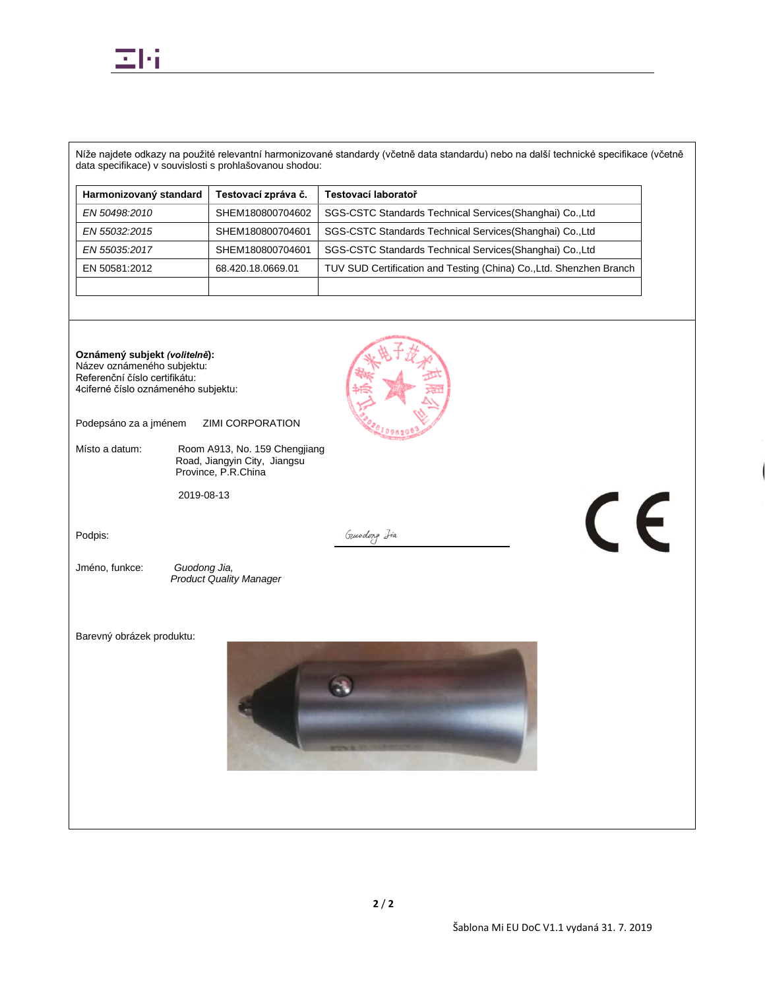

Níže najdete odkazy na použité relevantní harmonizované standardy (včetně data standardu) nebo na další technické specifikace (včetně data specifikace) v souvislosti s prohlašovanou shodou:

| Harmonizovaný standard | Testovací zpráva č. | Testovací laboratoř                                                 |
|------------------------|---------------------|---------------------------------------------------------------------|
| EN 50498:2010          | SHEM180800704602    | SGS-CSTC Standards Technical Services (Shanghai) Co., Ltd           |
| EN 55032:2015          | SHEM180800704601    | SGS-CSTC Standards Technical Services (Shanghai) Co., Ltd           |
| EN 55035:2017          | SHEM180800704601    | SGS-CSTC Standards Technical Services (Shanghai) Co., Ltd           |
| EN 50581:2012          | 68.420.18.0669.01   | TUV SUD Certification and Testing (China) Co., Ltd. Shenzhen Branch |
|                        |                     |                                                                     |

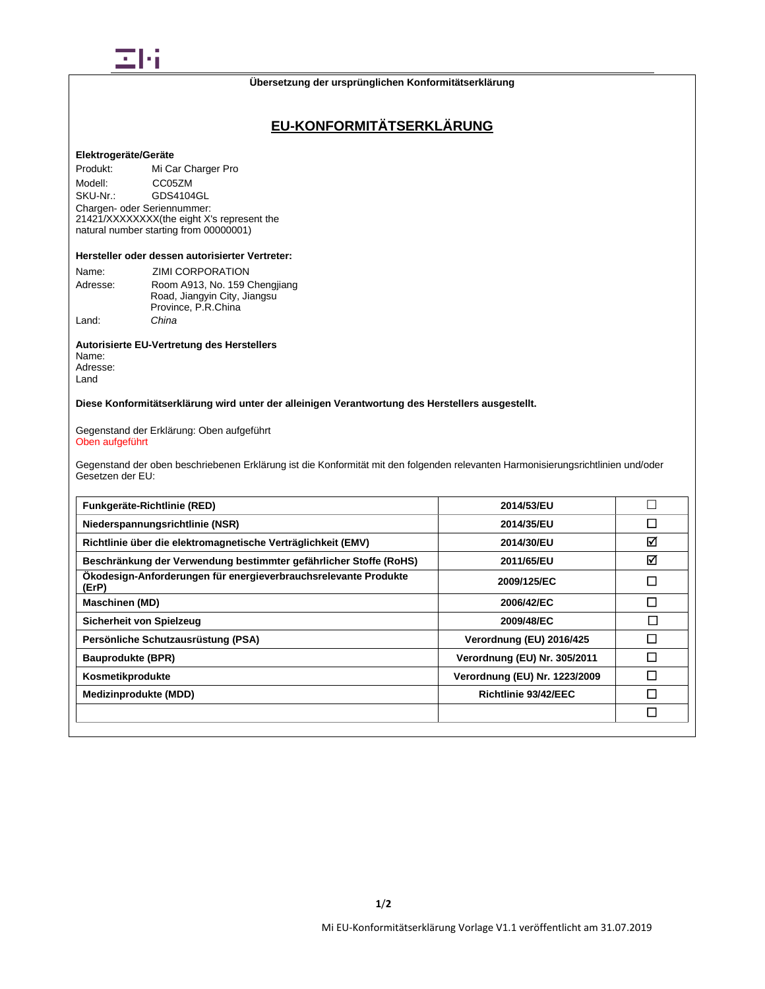

# **EU-KONFORMITÄTSERKLÄRUNG**

## **Elektrogeräte/Geräte**

Produkt: Mi Car Charger Pro Modell: CC05ZM<br>SKU-Nr.: GDS4104 GDS4104GL Chargen- oder Seriennummer: 21421/XXXXXXXX(the eight X's represent the natural number starting from 00000001)

### **Hersteller oder dessen autorisierter Vertreter:**

| Name:    | <b>ZIMI CORPORATION</b>       |  |
|----------|-------------------------------|--|
| Adresse: | Room A913, No. 159 Chengjiang |  |
|          | Road, Jiangyin City, Jiangsu  |  |
|          | Province, P.R.China           |  |
| Land:    | China                         |  |

**Autorisierte EU-Vertretung des Herstellers** Name: Adresse: Land

**Diese Konformitätserklärung wird unter der alleinigen Verantwortung des Herstellers ausgestellt.**

Gegenstand der Erklärung: Oben aufgeführt Oben aufgeführt

Gegenstand der oben beschriebenen Erklärung ist die Konformität mit den folgenden relevanten Harmonisierungsrichtlinien und/oder Gesetzen der EU:

| Funkgeräte-Richtlinie (RED)                                              | 2014/53/EU                    |        |
|--------------------------------------------------------------------------|-------------------------------|--------|
| Niederspannungsrichtlinie (NSR)                                          | 2014/35/EU                    | □      |
| Richtlinie über die elektromagnetische Verträglichkeit (EMV)             | 2014/30/EU                    | ☑      |
| Beschränkung der Verwendung bestimmter gefährlicher Stoffe (RoHS)        | 2011/65/EU                    | ☑      |
| Ökodesign-Anforderungen für energieverbrauchsrelevante Produkte<br>(ErP) | 2009/125/EC                   | П      |
| <b>Maschinen (MD)</b>                                                    | 2006/42/EC                    | □      |
| Sicherheit von Spielzeug                                                 | 2009/48/EC                    | $\Box$ |
| Persönliche Schutzausrüstung (PSA)                                       | Verordnung (EU) 2016/425      | П      |
| <b>Bauprodukte (BPR)</b>                                                 | Verordnung (EU) Nr. 305/2011  | П      |
| Kosmetikprodukte                                                         | Verordnung (EU) Nr. 1223/2009 | П      |
| <b>Medizinprodukte (MDD)</b>                                             | Richtlinie 93/42/EEC          | П      |
|                                                                          |                               | $\Box$ |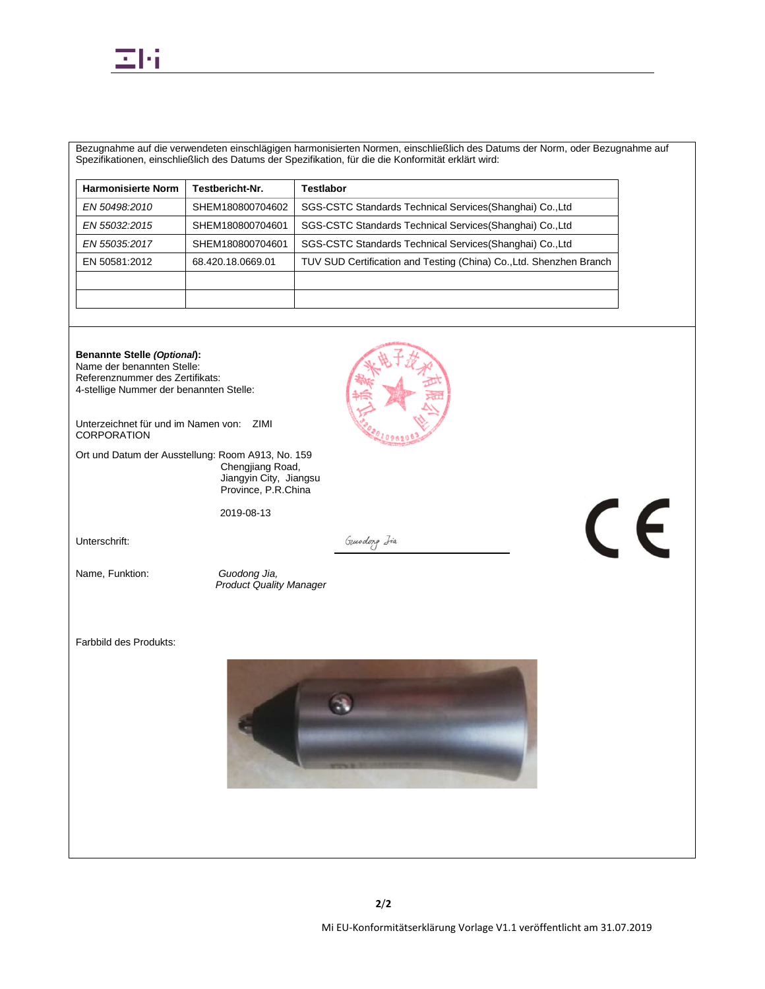

Bezugnahme auf die verwendeten einschlägigen harmonisierten Normen, einschließlich des Datums der Norm, oder Bezugnahme auf Spezifikationen, einschließlich des Datums der Spezifikation, für die die Konformität erklärt wird:

| <b>Harmonisierte Norm</b> | <b>Testbericht-Nr.</b> | Testlabor                                                           |
|---------------------------|------------------------|---------------------------------------------------------------------|
| EN 50498:2010             | SHEM180800704602       | SGS-CSTC Standards Technical Services (Shanghai) Co., Ltd           |
| EN 55032:2015             | SHEM180800704601       | SGS-CSTC Standards Technical Services (Shanghai) Co., Ltd           |
| EN 55035:2017             | SHEM180800704601       | SGS-CSTC Standards Technical Services (Shanghai) Co., Ltd           |
| EN 50581:2012             | 68.420.18.0669.01      | TUV SUD Certification and Testing (China) Co., Ltd. Shenzhen Branch |
|                           |                        |                                                                     |
|                           |                        |                                                                     |

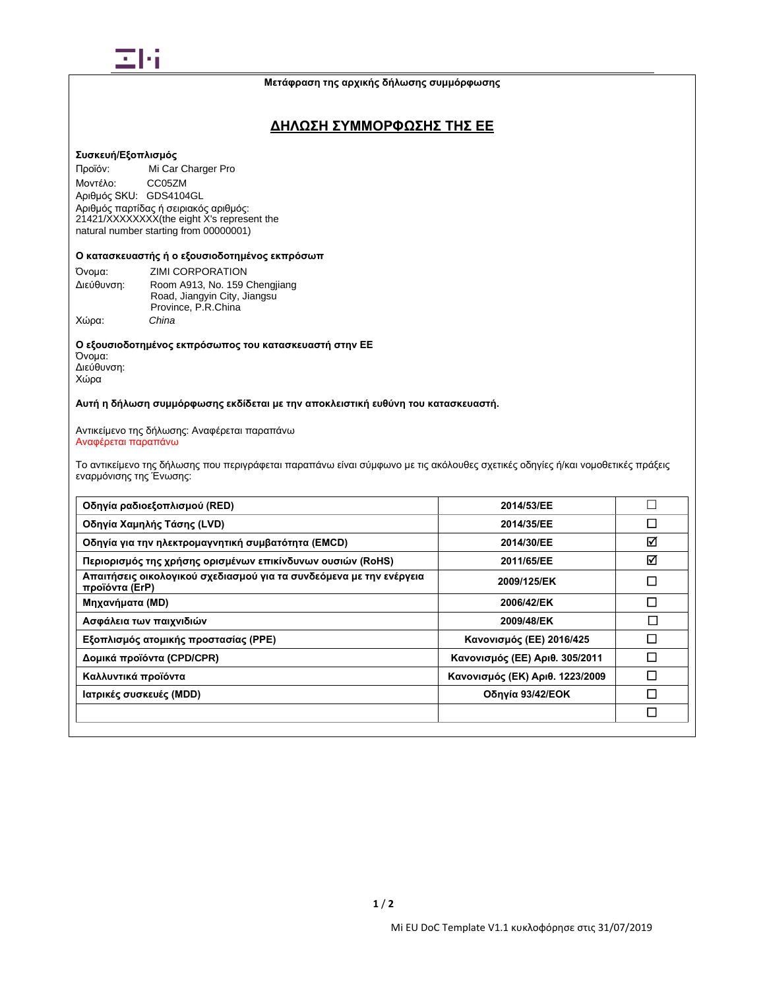

## **ΔΗΛΩΣΗ ΣΥΜΜΟΡΦΩΣΗΣ ΤΗΣ ΕΕ**

### **Συσκευή/Εξοπλισμός**

Προϊόν: Mi Car Charger Pro Μοντέλο: CC05ZM Αριθμός SKU: GDS4104GL Αριθμός παρτίδας ή σειριακός αριθμός: 21421/XXXXXXXX(the eight X's represent the natural number starting from 00000001)

### **Ο κατασκευαστής ή ο εξουσιοδοτημένος εκπρόσωπ**

| Όνομα:     | <b>ZIMI CORPORATION</b>       |
|------------|-------------------------------|
| Διεύθυνση: | Room A913, No. 159 Chengjiang |
|            | Road, Jiangyin City, Jiangsu  |
|            | Province, P.R.China           |
| Χώρα:      | China                         |

**Ο εξουσιοδοτημένος εκπρόσωπος του κατασκευαστή στην ΕΕ** Όνομα: Διεύθυνση: Χώρα

**Αυτή η δήλωση συμμόρφωσης εκδίδεται με την αποκλειστική ευθύνη του κατασκευαστή.**

Αντικείμενο της δήλωσης: Αναφέρεται παραπάνω Αναφέρεται παραπάνω

Το αντικείμενο της δήλωσης που περιγράφεται παραπάνω είναι σύμφωνο με τις ακόλουθες σχετικές οδηγίες ή/και νομοθετικές πράξεις εναρμόνισης της Ένωσης:

| Οδηγία ραδιοεξοπλισμού (RED)                                                          | 2014/53/EE                      |        |
|---------------------------------------------------------------------------------------|---------------------------------|--------|
| Οδηγία Χαμηλής Τάσης (LVD)                                                            | 2014/35/EE                      | □      |
| Οδηγία για την ηλεκτρομαγνητική συμβατότητα (EMCD)                                    | 2014/30/EE                      | ☑      |
| Περιορισμός της χρήσης ορισμένων επικίνδυνων ουσιών (RoHS)                            | 2011/65/EE                      | ☑      |
| Απαιτήσεις οικολογικού σχεδιασμού για τα συνδεόμενα με την ενέργεια<br>προϊόντα (ErP) | 2009/125/EK                     | $\Box$ |
| Μηχανήματα (MD)                                                                       | 2006/42/EK                      | П      |
| Ασφάλεια των παιχνιδιών                                                               | 2009/48/EK                      | $\Box$ |
| Εξοπλισμός ατομικής προστασίας (PPE)                                                  | Κανονισμός (ΕΕ) 2016/425        | П      |
| Δομικά προϊόντα (CPD/CPR)                                                             | Κανονισμός (ΕΕ) Αριθ. 305/2011  | П      |
| Καλλυντικά προϊόντα                                                                   | Κανονισμός (ΕΚ) Αριθ. 1223/2009 | П      |
| Ιατρικές συσκευές (MDD)                                                               | Οδηγία 93/42/ΕΟΚ                | П      |
|                                                                                       |                                 | П      |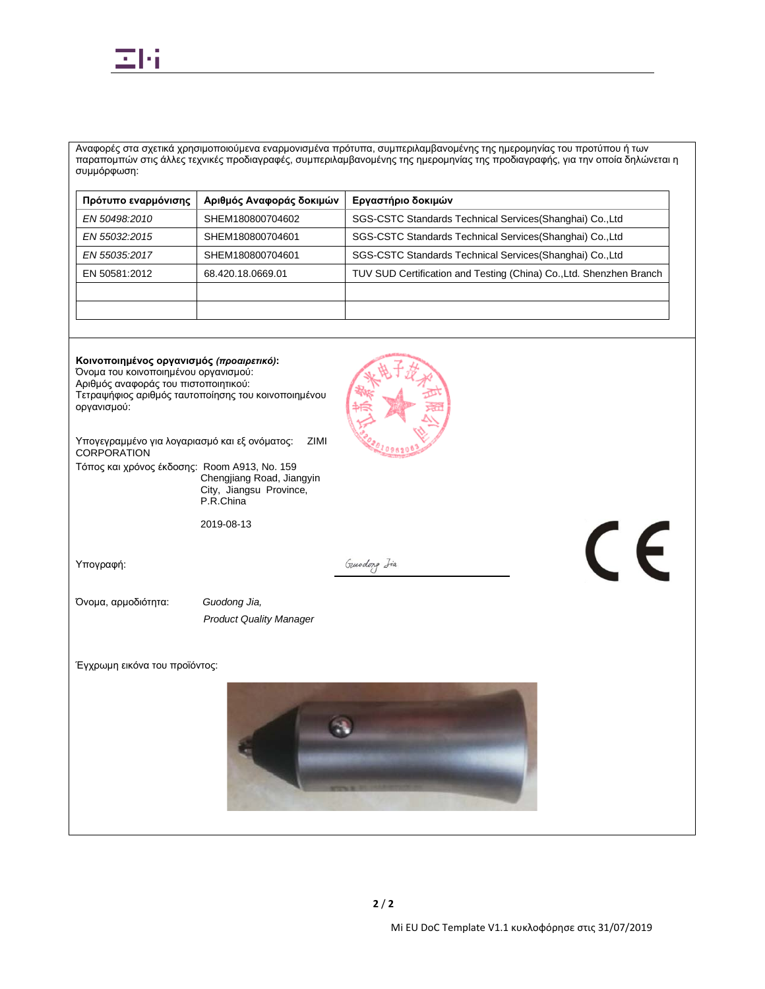

Αναφορές στα σχετικά χρησιμοποιούμενα εναρμονισμένα πρότυπα, συμπεριλαμβανομένης της ημερομηνίας του προτύπου ή των παραπομπών στις άλλες τεχνικές προδιαγραφές, συμπεριλαμβανομένης της ημερομηνίας της προδιαγραφής, για την οποία δηλώνεται η συμμόρφωση:

| Πρότυπο εναρμόνισης | Αριθμός Αναφοράς δοκιμών | Εργαστήριο δοκιμών                                                  |
|---------------------|--------------------------|---------------------------------------------------------------------|
| EN 50498:2010       | SHEM180800704602         | SGS-CSTC Standards Technical Services (Shanghai) Co., Ltd           |
| EN 55032:2015       | SHEM180800704601         | SGS-CSTC Standards Technical Services (Shanghai) Co., Ltd           |
| EN 55035:2017       | SHEM180800704601         | SGS-CSTC Standards Technical Services (Shanghai) Co., Ltd           |
| EN 50581:2012       | 68.420.18.0669.01        | TUV SUD Certification and Testing (China) Co., Ltd. Shenzhen Branch |
|                     |                          |                                                                     |
|                     |                          |                                                                     |

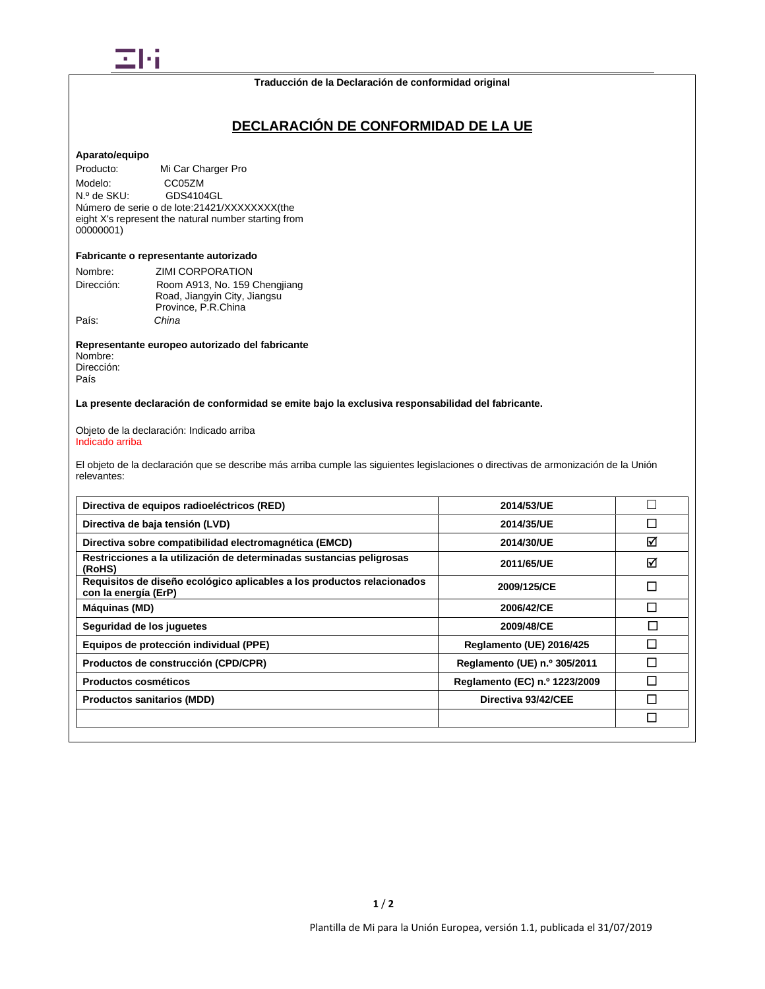

### **Traducción de la Declaración de conformidad original**

# **DECLARACIÓN DE CONFORMIDAD DE LA UE**

#### **Aparato/equipo**

Producto: Mi Car Charger Pro Modelo: CC05ZM<br>N.º de SKU: GDS410 GDS4104GL Número de serie o de lote: 21421/XXXXXXXX(the eight X's represent the natural number starting from 00000001)

## **Fabricante o representante autorizado**

| Nombre:    | ZIMI CORPORATION              |
|------------|-------------------------------|
| Dirección: | Room A913, No. 159 Chengjiang |
|            | Road, Jiangyin City, Jiangsu  |
|            | Province, P.R.China           |
| País:      | China                         |

**Representante europeo autorizado del fabricante** Nombre: Dirección:

País

**La presente declaración de conformidad se emite bajo la exclusiva responsabilidad del fabricante.**

Objeto de la declaración: Indicado arriba Indicado arriba

El objeto de la declaración que se describe más arriba cumple las siguientes legislaciones o directivas de armonización de la Unión relevantes:

| Directiva de equipos radioeléctricos (RED)                                                     | 2014/53/UE                    |        |
|------------------------------------------------------------------------------------------------|-------------------------------|--------|
| Directiva de baja tensión (LVD)                                                                | 2014/35/UE                    | П      |
| Directiva sobre compatibilidad electromagnética (EMCD)                                         | 2014/30/UE                    | ☑      |
| Restricciones a la utilización de determinadas sustancias peligrosas<br>(RoHS)                 | 2011/65/UE                    | ⊠      |
| Requisitos de diseño ecológico aplicables a los productos relacionados<br>con la energía (ErP) | 2009/125/CE                   | П      |
| Máquinas (MD)                                                                                  | 2006/42/CE                    | П      |
| Sequridad de los juguetes                                                                      | 2009/48/CE                    | $\Box$ |
| Equipos de protección individual (PPE)                                                         | Reglamento (UE) 2016/425      | П      |
| Productos de construcción (CPD/CPR)                                                            | Reglamento (UE) n.º 305/2011  | П      |
| Productos cosméticos                                                                           | Reglamento (EC) n.º 1223/2009 | П      |
| <b>Productos sanitarios (MDD)</b>                                                              | Directiva 93/42/CEE           | П      |
|                                                                                                |                               | П      |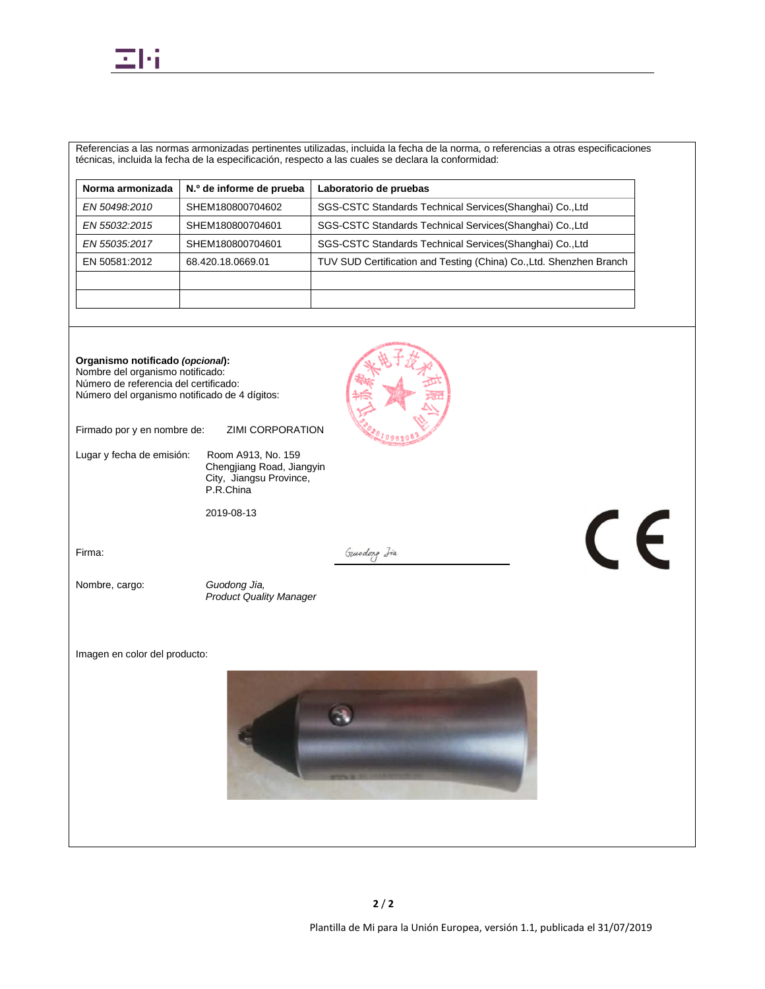

Referencias a las normas armonizadas pertinentes utilizadas, incluida la fecha de la norma, o referencias a otras especificaciones técnicas, incluida la fecha de la especificación, respecto a las cuales se declara la conformidad:

| Norma armonizada | N.º de informe de prueba | Laboratorio de pruebas                                              |
|------------------|--------------------------|---------------------------------------------------------------------|
| EN 50498:2010    | SHEM180800704602         | SGS-CSTC Standards Technical Services (Shanghai) Co., Ltd           |
| EN 55032:2015    | SHEM180800704601         | SGS-CSTC Standards Technical Services (Shanghai) Co., Ltd           |
| EN 55035:2017    | SHEM180800704601         | SGS-CSTC Standards Technical Services (Shanghai) Co., Ltd           |
| EN 50581:2012    | 68.420.18.0669.01        | TUV SUD Certification and Testing (China) Co., Ltd. Shenzhen Branch |
|                  |                          |                                                                     |
|                  |                          |                                                                     |

**Organismo notificado** *(opcional***):** Nombre del organismo notificado: Número de referencia del certificado: Número del organismo notificado de 4 dígitos:

Firmado por y en nombre de: ZIMI CORPORATION

Lugar y fecha de emisión: Room A913, No. 159

Chengjiang Road, Jiangyin City, Jiangsu Province, P.R.China

2019-08-13

Firma:

Nombre, cargo: *Guodong Jia,* 

*Product Quality Manager*

Imagen en color del producto:



Gunodong Iia

Plantilla de Mi para la Unión Europea, versión 1.1, publicada el 31/07/2019

CE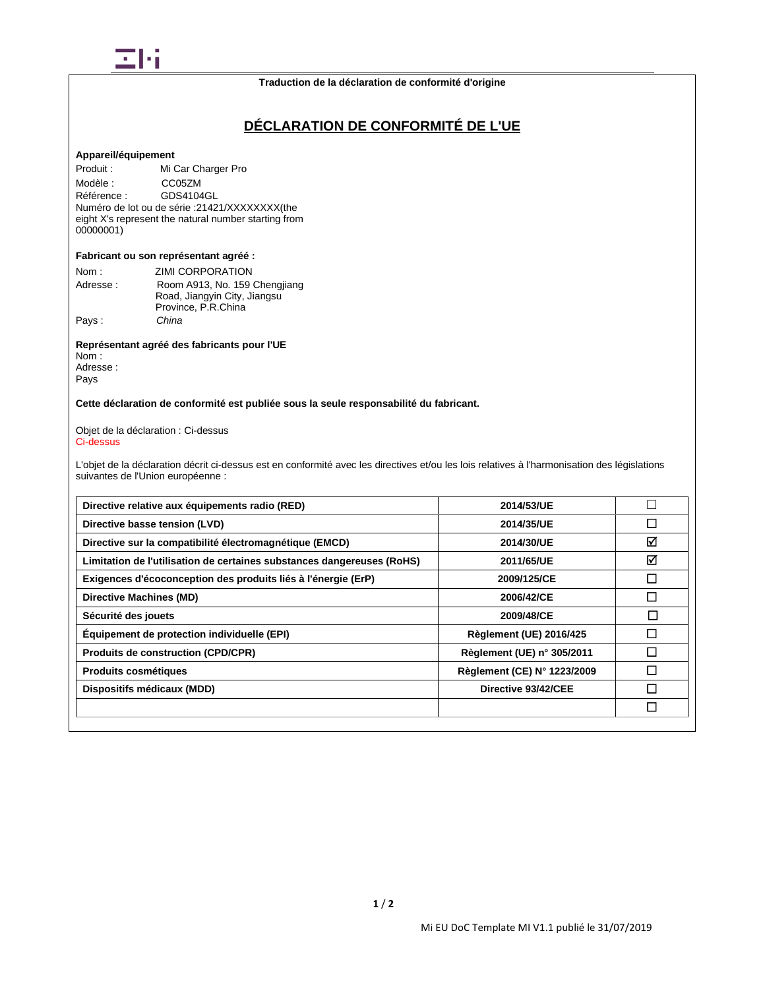

# **DÉCLARATION DE CONFORMITÉ DE L'UE**

## **Appareil/équipement**

Produit : Mi Car Charger Pro Modèle : CC05ZM<br>Référence : GDS4104 Référence : GDS4104GL Numéro de lot ou de série :21421/XXXXXXXX(the eight X's represent the natural number starting from 00000001)

### **Fabricant ou son représentant agréé :**

| Nom:     | ZIMI CORPORATION              |
|----------|-------------------------------|
| Adresse: | Room A913, No. 159 Chengjiang |
|          | Road, Jiangyin City, Jiangsu  |
|          | Province, P.R.China           |
| Pays:    | China                         |

**Représentant agréé des fabricants pour l'UE** Nom :

Adresse : Pays

## **Cette déclaration de conformité est publiée sous la seule responsabilité du fabricant.**

### Objet de la déclaration : Ci-dessus Ci-dessus

L'objet de la déclaration décrit ci-dessus est en conformité avec les directives et/ou les lois relatives à l'harmonisation des législations suivantes de l'Union européenne :

| Directive relative aux équipements radio (RED)                         | 2014/53/UE                     |        |
|------------------------------------------------------------------------|--------------------------------|--------|
| Directive basse tension (LVD)                                          | 2014/35/UE                     | □      |
| Directive sur la compatibilité électromagnétique (EMCD)                | 2014/30/UE                     | ☑      |
| Limitation de l'utilisation de certaines substances dangereuses (RoHS) | 2011/65/UE                     | ☑      |
| Exigences d'écoconception des produits liés à l'énergie (ErP)          | 2009/125/CE                    | П      |
| Directive Machines (MD)                                                | 2006/42/CE                     | П      |
| Sécurité des jouets                                                    | 2009/48/CE                     | $\Box$ |
| Equipement de protection individuelle (EPI)                            | <b>Règlement (UE) 2016/425</b> | П      |
| <b>Produits de construction (CPD/CPR)</b>                              | Règlement (UE) n° 305/2011     |        |
| Produits cosmétiques                                                   | Règlement (CE) N° 1223/2009    |        |
| Dispositifs médicaux (MDD)                                             | Directive 93/42/CEE            |        |
|                                                                        |                                | П      |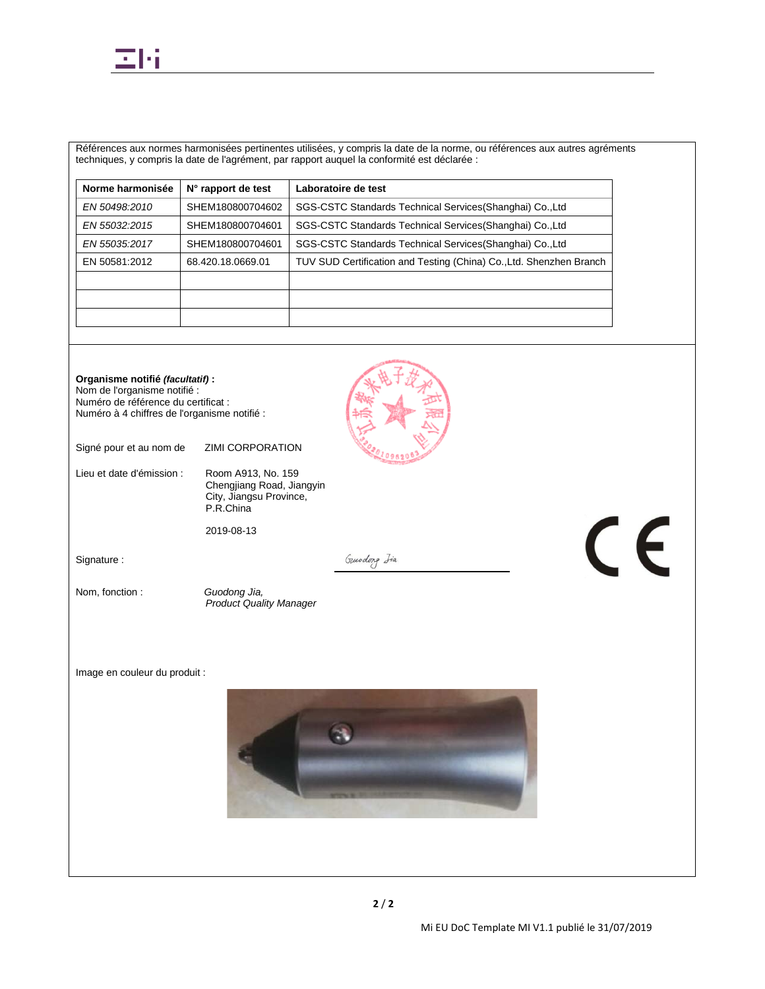

Références aux normes harmonisées pertinentes utilisées, y compris la date de la norme, ou références aux autres agréments techniques, y compris la date de l'agrément, par rapport auquel la conformité est déclarée :

| Norme harmonisée | N° rapport de test | Laboratoire de test                                                 |
|------------------|--------------------|---------------------------------------------------------------------|
| EN 50498:2010    | SHEM180800704602   | SGS-CSTC Standards Technical Services (Shanghai) Co., Ltd           |
| EN 55032:2015    | SHEM180800704601   | SGS-CSTC Standards Technical Services (Shanghai) Co., Ltd           |
| EN 55035:2017    | SHEM180800704601   | SGS-CSTC Standards Technical Services (Shanghai) Co., Ltd           |
| EN 50581:2012    | 68.420.18.0669.01  | TUV SUD Certification and Testing (China) Co., Ltd. Shenzhen Branch |
|                  |                    |                                                                     |
|                  |                    |                                                                     |
|                  |                    |                                                                     |

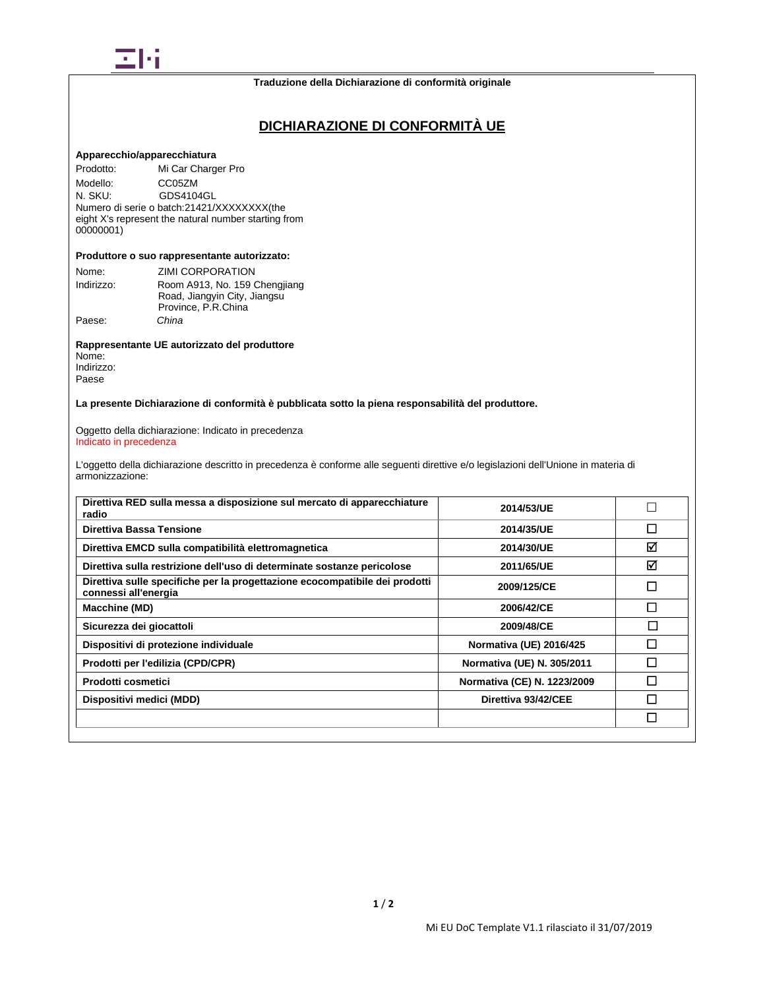

# **DICHIARAZIONE DI CONFORMITÀ UE**

#### **Apparecchio/apparecchiatura**

Prodotto: Mi Car Charger Pro Modello: CC05ZM<br>N. SKU: GDS4104 GDS4104GL Numero di serie o batch:21421/XXXXXXXX(the eight X's represent the natural number starting from 00000001)

### **Produttore o suo rappresentante autorizzato:**

| Nome:      | ZIMI CORPORATION              |
|------------|-------------------------------|
| Indirizzo: | Room A913, No. 159 Chengjiang |
|            | Road, Jiangyin City, Jiangsu  |
|            | Province, P.R.China           |
| Paese:     | China                         |

**Rappresentante UE autorizzato del produttore** Nome: Indirizzo:

Paese

**La presente Dichiarazione di conformità è pubblicata sotto la piena responsabilità del produttore.**

Oggetto della dichiarazione: Indicato in precedenza Indicato in precedenza

L'oggetto della dichiarazione descritto in precedenza è conforme alle seguenti direttive e/o legislazioni dell'Unione in materia di armonizzazione:

| Direttiva RED sulla messa a disposizione sul mercato di apparecchiature<br>radio                    | 2014/53/UE                     |   |
|-----------------------------------------------------------------------------------------------------|--------------------------------|---|
| Direttiva Bassa Tensione                                                                            | 2014/35/UE                     | П |
| Direttiva EMCD sulla compatibilità elettromagnetica                                                 | 2014/30/UE                     | ⊠ |
| Direttiva sulla restrizione dell'uso di determinate sostanze pericolose                             | 2011/65/UE                     | ☑ |
| Direttiva sulle specifiche per la progettazione ecocompatibile dei prodotti<br>connessi all'energia | 2009/125/CE                    | П |
| Macchine (MD)                                                                                       | 2006/42/CE                     | П |
| Sicurezza dei giocattoli                                                                            | 2009/48/CE                     | П |
| Dispositivi di protezione individuale                                                               | <b>Normativa (UE) 2016/425</b> | П |
| Prodotti per l'edilizia (CPD/CPR)                                                                   | Normativa (UE) N. 305/2011     | П |
| Prodotti cosmetici                                                                                  | Normativa (CE) N. 1223/2009    | П |
| Dispositivi medici (MDD)                                                                            | Direttiva 93/42/CEE            |   |
|                                                                                                     |                                | П |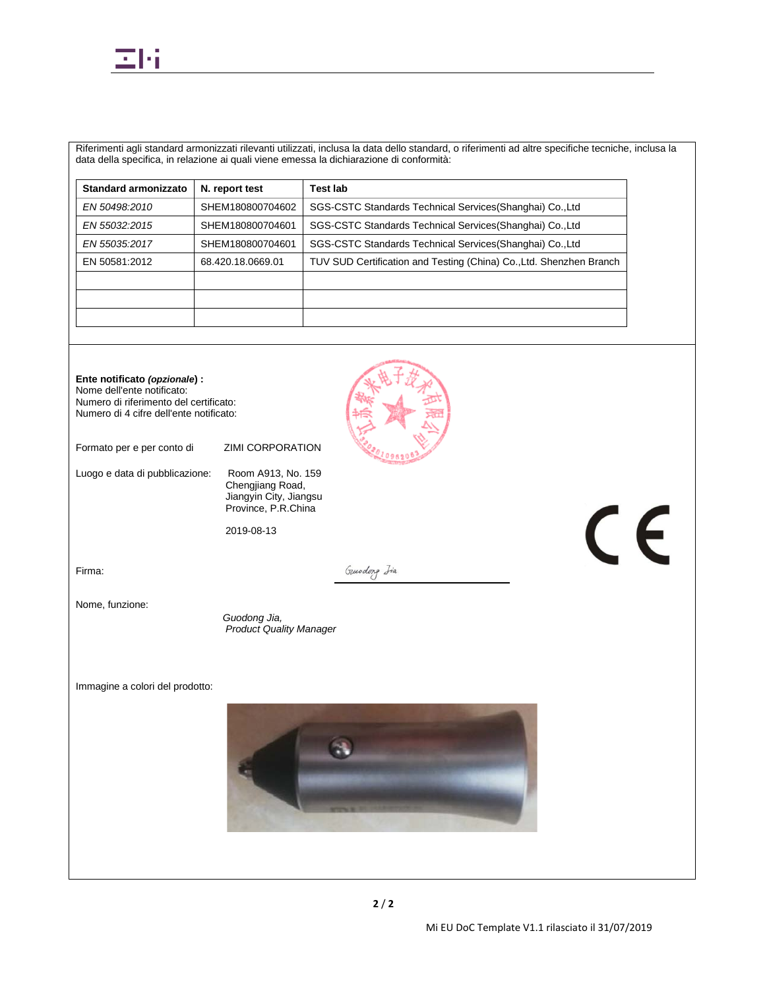

Riferimenti agli standard armonizzati rilevanti utilizzati, inclusa la data dello standard, o riferimenti ad altre specifiche tecniche, inclusa la data della specifica, in relazione ai quali viene emessa la dichiarazione di conformità:

| N. report test    | <b>Test lab</b>                                                     |
|-------------------|---------------------------------------------------------------------|
| SHEM180800704602  | SGS-CSTC Standards Technical Services (Shanghai) Co., Ltd           |
| SHEM180800704601  | SGS-CSTC Standards Technical Services (Shanghai) Co., Ltd           |
| SHEM180800704601  | SGS-CSTC Standards Technical Services (Shanghai) Co., Ltd           |
| 68.420.18.0669.01 | TUV SUD Certification and Testing (China) Co., Ltd. Shenzhen Branch |
|                   |                                                                     |
|                   |                                                                     |
|                   |                                                                     |
|                   |                                                                     |

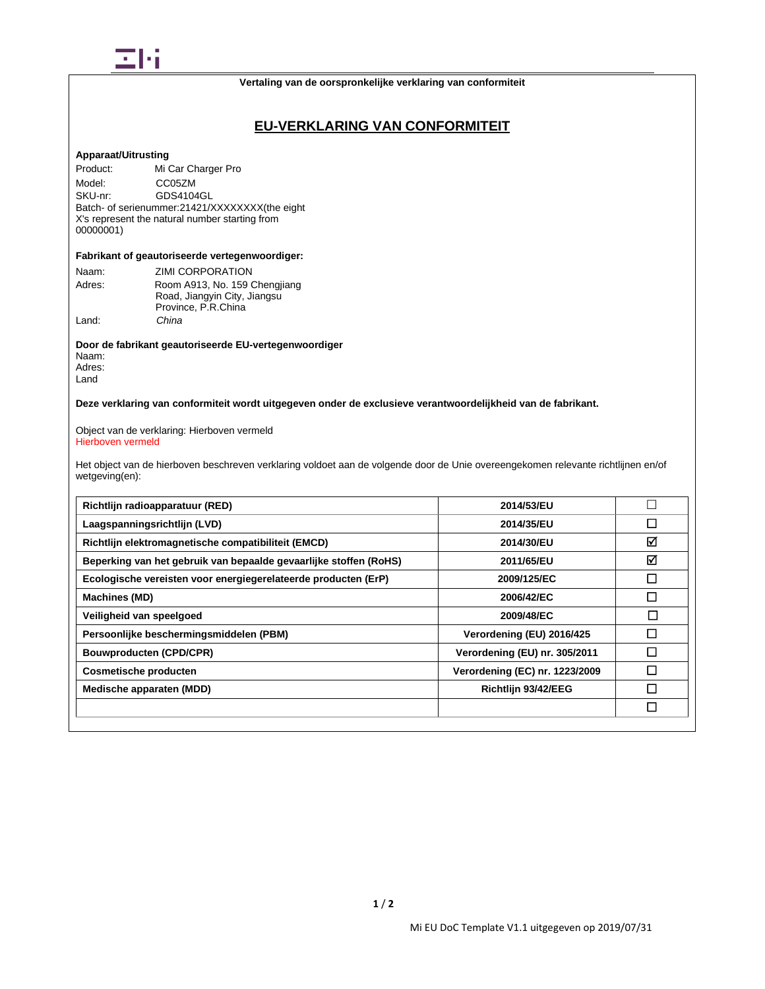

### **Vertaling van de oorspronkelijke verklaring van conformiteit**

## **EU-VERKLARING VAN CONFORMITEIT**

## **Apparaat/Uitrusting**

Product: Mi Car Charger Pro Model: CC05ZM<br>SKU-nr: GDS4104 GDS4104GL Batch- of serienummer:21421/XXXXXXXX(the eight X's represent the natural number starting from 00000001)

### **Fabrikant of geautoriseerde vertegenwoordiger:**

| Naam:  | ZIMI CORPORATION              |
|--------|-------------------------------|
| Adres: | Room A913, No. 159 Chengjiang |
|        | Road, Jiangyin City, Jiangsu  |
|        | Province, P.R.China           |
| Land:  | China                         |

**Door de fabrikant geautoriseerde EU-vertegenwoordiger** Naam: Adres: Land

**Deze verklaring van conformiteit wordt uitgegeven onder de exclusieve verantwoordelijkheid van de fabrikant.**

Object van de verklaring: Hierboven vermeld Hierboven vermeld

Het object van de hierboven beschreven verklaring voldoet aan de volgende door de Unie overeengekomen relevante richtlijnen en/of wetgeving(en):

| Richtlijn radioapparatuur (RED)                                   | 2014/53/EU                     |   |
|-------------------------------------------------------------------|--------------------------------|---|
| Laagspanningsrichtlijn (LVD)                                      | 2014/35/EU                     | □ |
| Richtlijn elektromagnetische compatibiliteit (EMCD)               | 2014/30/EU                     | ☑ |
| Beperking van het gebruik van bepaalde gevaarlijke stoffen (RoHS) | 2011/65/EU                     | ☑ |
| Ecologische vereisten voor energiegerelateerde producten (ErP)    | 2009/125/EC                    | □ |
| <b>Machines (MD)</b>                                              | 2006/42/EC                     | П |
| Veiligheid van speelgoed                                          | 2009/48/EC                     | □ |
| Persoonlijke beschermingsmiddelen (PBM)                           | Verordening (EU) 2016/425      | П |
| <b>Bouwproducten (CPD/CPR)</b>                                    | Verordening (EU) nr. 305/2011  |   |
| <b>Cosmetische producten</b>                                      | Verordening (EC) nr. 1223/2009 |   |
| Medische apparaten (MDD)                                          | Richtlijn 93/42/EEG            |   |
|                                                                   |                                | □ |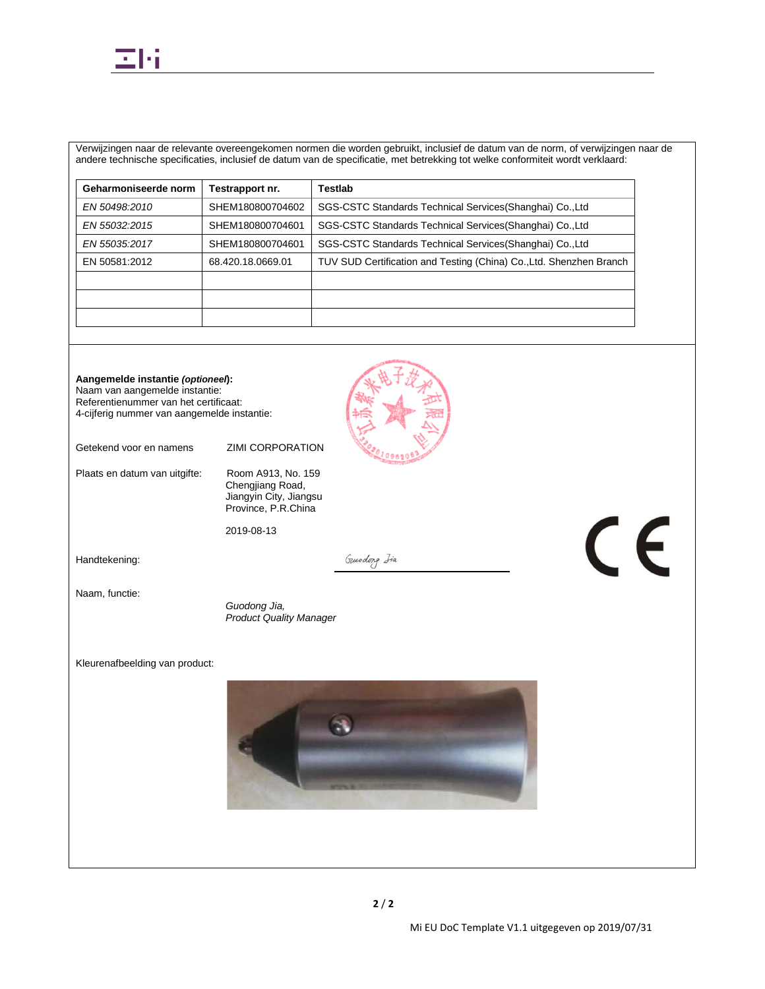

Verwijzingen naar de relevante overeengekomen normen die worden gebruikt, inclusief de datum van de norm, of verwijzingen naar de andere technische specificaties, inclusief de datum van de specificatie, met betrekking tot welke conformiteit wordt verklaard:

| Geharmoniseerde norm | Testrapport nr.   | <b>Testlab</b>                                                      |
|----------------------|-------------------|---------------------------------------------------------------------|
| EN 50498,2010        | SHEM180800704602  | SGS-CSTC Standards Technical Services (Shanghai) Co., Ltd           |
| EN 55032:2015        | SHEM180800704601  | SGS-CSTC Standards Technical Services (Shanghai) Co., Ltd           |
| EN 55035:2017        | SHEM180800704601  | SGS-CSTC Standards Technical Services (Shanghai) Co., Ltd           |
| EN 50581:2012        | 68.420.18.0669.01 | TUV SUD Certification and Testing (China) Co., Ltd. Shenzhen Branch |
|                      |                   |                                                                     |
|                      |                   |                                                                     |
|                      |                   |                                                                     |

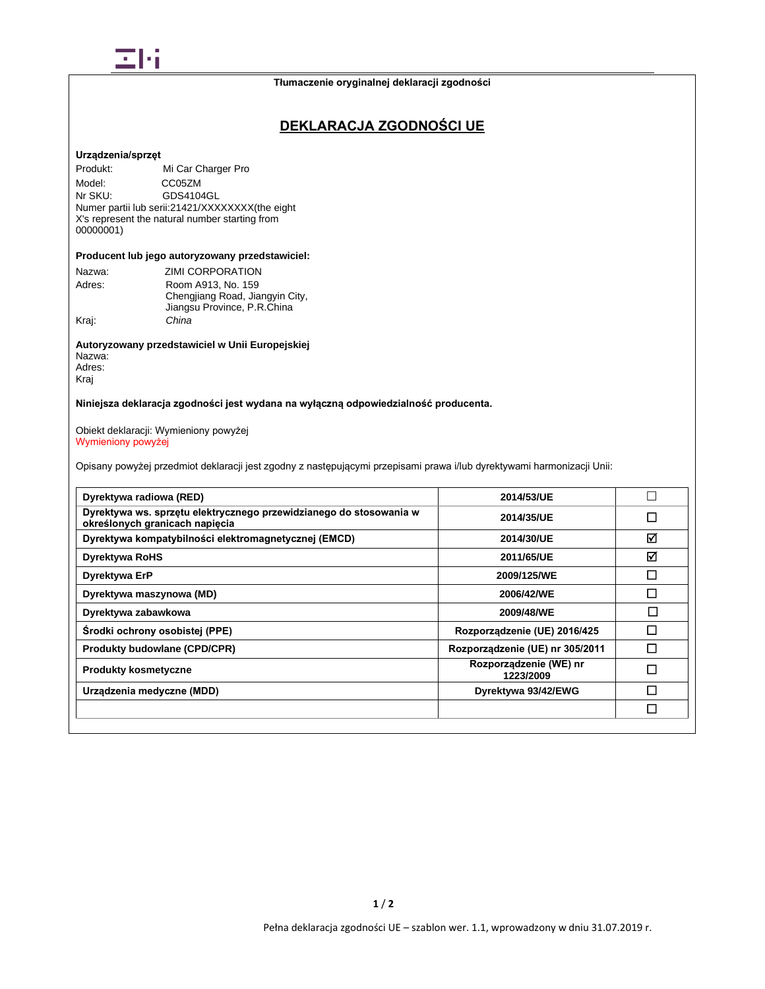

# **DEKLARACJA ZGODNOŚCI UE**

### **Urządzenia/sprzęt**

Produkt: Mi Car Charger Pro Model: CC05ZM<br>Nr SKU: GDS410 GDS4104GL Numer partii lub serii:21421/XXXXXXXX(the eight X's represent the natural number starting from 00000001)

## **Producent lub jego autoryzowany przedstawiciel:**

| Nazwa: | <b>ZIMI CORPORATION</b>         |
|--------|---------------------------------|
| Adres: | Room A913, No. 159              |
|        | Chengjiang Road, Jiangyin City, |
|        | Jiangsu Province, P.R.China     |
| Krai:  | China                           |
|        |                                 |

## **Autoryzowany przedstawiciel w Unii Europejskiej** Nazwa: Adres:

Kraj

## **Niniejsza deklaracja zgodności jest wydana na wyłączną odpowiedzialność producenta.**

### Obiekt deklaracji: Wymieniony powyżej Wymieniony powyżej

Opisany powyżej przedmiot deklaracji jest zgodny z następującymi przepisami prawa i/lub dyrektywami harmonizacji Unii:

| Dyrektywa radiowa (RED)                                                                              | 2014/53/UE                          | $\mathbf{L}$ |
|------------------------------------------------------------------------------------------------------|-------------------------------------|--------------|
| Dyrektywa ws. sprzętu elektrycznego przewidzianego do stosowania w<br>określonych granicach napięcia | 2014/35/UE                          | П            |
| Dyrektywa kompatybilności elektromagnetycznej (EMCD)                                                 | 2014/30/UE                          | ⊠            |
| <b>Dyrektywa RoHS</b>                                                                                | 2011/65/UE                          | ☑            |
| Dyrektywa ErP                                                                                        | 2009/125/WE                         | П            |
| Dyrektywa maszynowa (MD)                                                                             | 2006/42/WE                          | П            |
| Dyrektywa zabawkowa                                                                                  | 2009/48/WE                          | П            |
| Środki ochrony osobistej (PPE)                                                                       | Rozporządzenie (UE) 2016/425        |              |
| <b>Produkty budowlane (CPD/CPR)</b>                                                                  | Rozporządzenie (UE) nr 305/2011     | П            |
| <b>Produkty kosmetyczne</b>                                                                          | Rozporządzenie (WE) nr<br>1223/2009 | П            |
| Urządzenia medyczne (MDD)                                                                            | Dyrektywa 93/42/EWG                 | П            |
|                                                                                                      |                                     | П            |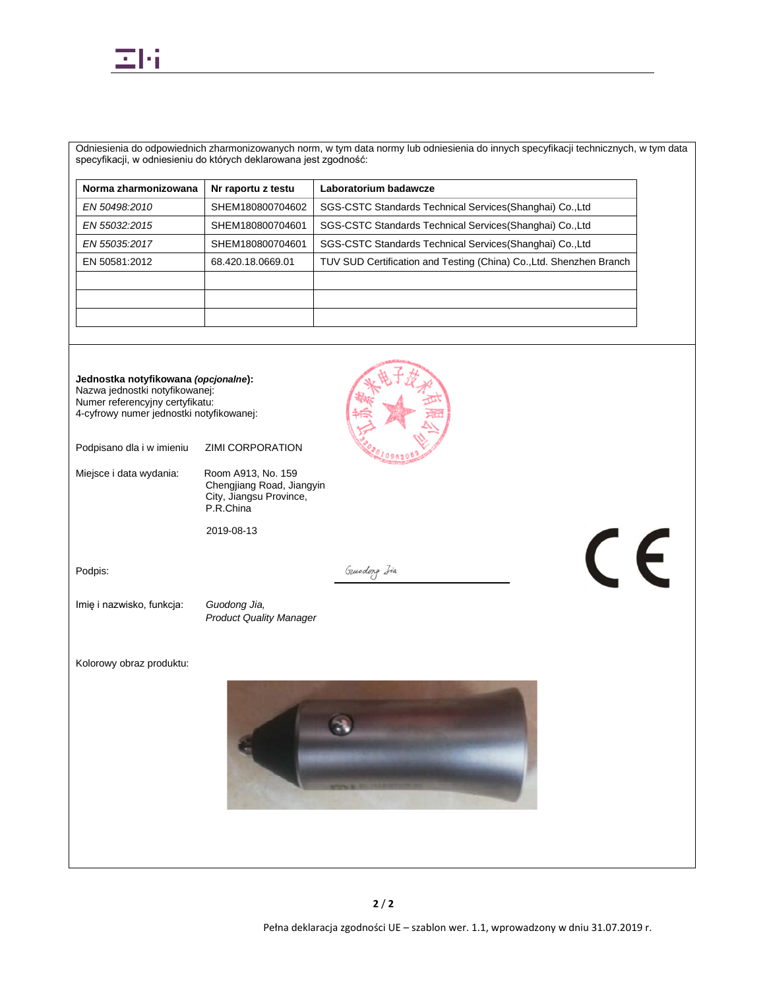

Odniesienia do odpowiednich zharmonizowanych norm, w tym data normy lub odniesienia do innych specyfikacji technicznych, w tym data specyfikacji, w odniesieniu do których deklarowana jest zgodność:

| Nr raportu z testu | Laboratorium badawcze                                               |
|--------------------|---------------------------------------------------------------------|
| SHEM180800704602   | SGS-CSTC Standards Technical Services (Shanghai) Co., Ltd           |
| SHEM180800704601   | SGS-CSTC Standards Technical Services (Shanghai) Co., Ltd           |
| SHEM180800704601   | SGS-CSTC Standards Technical Services (Shanghai) Co., Ltd           |
| 68.420.18.0669.01  | TUV SUD Certification and Testing (China) Co., Ltd. Shenzhen Branch |
|                    |                                                                     |
|                    |                                                                     |
|                    |                                                                     |
|                    |                                                                     |

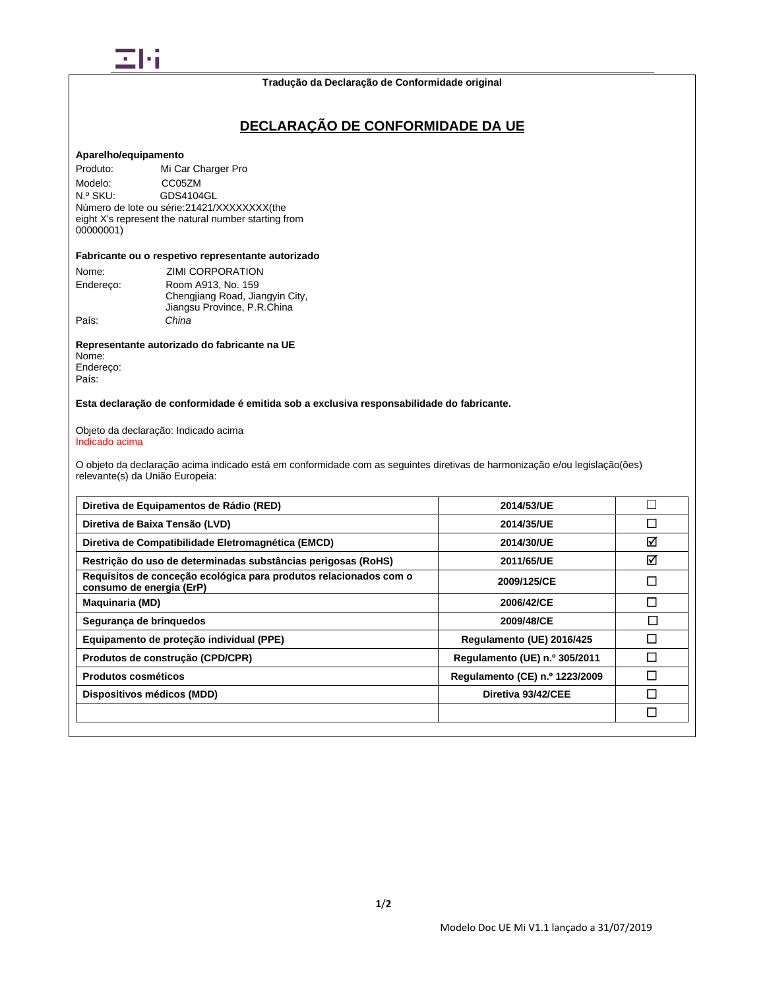

### **Tradução da Declaração de Conformidade original**

# **DECLARAÇÃO DE CONFORMIDADE DA UE**

### **Aparelho/equipamento**

Produto: Mi Car Charger Pro Modelo: CC05ZM<br>N.º SKU: GDS4104 GDS4104GL Número de lote ou série: 21421/XXXXXXXX(the eight X's represent the natural number starting from 00000001)

### **Fabricante ou o respetivo representante autorizado**

| Nome:<br>Endereco: | ZIMI CORPORATION<br>Room A913, No. 159                         |
|--------------------|----------------------------------------------------------------|
|                    | Chengjiang Road, Jiangyin City,<br>Jiangsu Province, P.R.China |
| País:              | China                                                          |

**Representante autorizado do fabricante na UE** Nome: Endereço: País:

## **Esta declaração de conformidade é emitida sob a exclusiva responsabilidade do fabricante.**

#### Objeto da declaração: Indicado acima Indicado acima

O objeto da declaração acima indicado está em conformidade com as seguintes diretivas de harmonização e/ou legislação(ões) relevante(s) da União Europeia:

| Diretiva de Equipamentos de Rádio (RED)                                                       | 2014/53/UE                     |        |
|-----------------------------------------------------------------------------------------------|--------------------------------|--------|
| Diretiva de Baixa Tensão (LVD)                                                                | 2014/35/UE                     | $\Box$ |
| Diretiva de Compatibilidade Eletromagnética (EMCD)                                            | 2014/30/UE                     | ☑      |
| Restrição do uso de determinadas substâncias perigosas (RoHS)                                 | 2011/65/UE                     | ☑      |
| Requisitos de conceção ecológica para produtos relacionados com o<br>consumo de energia (ErP) | 2009/125/CE                    | $\Box$ |
| <b>Maquinaria (MD)</b>                                                                        | 2006/42/CE                     | П      |
| Segurança de brinquedos                                                                       | 2009/48/CE                     | П      |
| Equipamento de proteção individual (PPE)                                                      | Regulamento (UE) 2016/425      | П      |
| Produtos de construção (CPD/CPR)                                                              | Regulamento (UE) n.º 305/2011  | П      |
| Produtos cosméticos                                                                           | Regulamento (CE) n.º 1223/2009 |        |
| Dispositivos médicos (MDD)                                                                    | Diretiva 93/42/CEE             | П      |
|                                                                                               |                                | $\Box$ |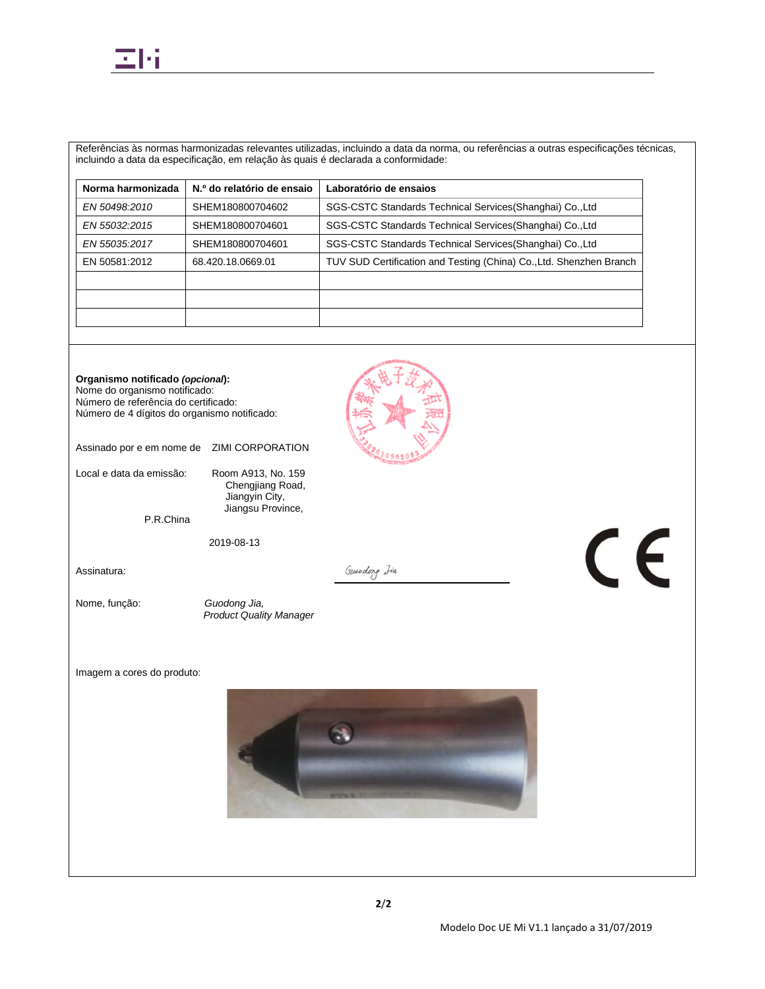

Referências às normas harmonizadas relevantes utilizadas, incluindo a data da norma, ou referências a outras especificações técnicas, incluindo a data da especificação, em relação às quais é declarada a conformidade:

| SGS-CSTC Standards Technical Services (Shanghai) Co., Ltd           |
|---------------------------------------------------------------------|
|                                                                     |
| SGS-CSTC Standards Technical Services (Shanghai) Co., Ltd           |
| SGS-CSTC Standards Technical Services (Shanghai) Co., Ltd           |
| TUV SUD Certification and Testing (China) Co., Ltd. Shenzhen Branch |
|                                                                     |
|                                                                     |
|                                                                     |
|                                                                     |

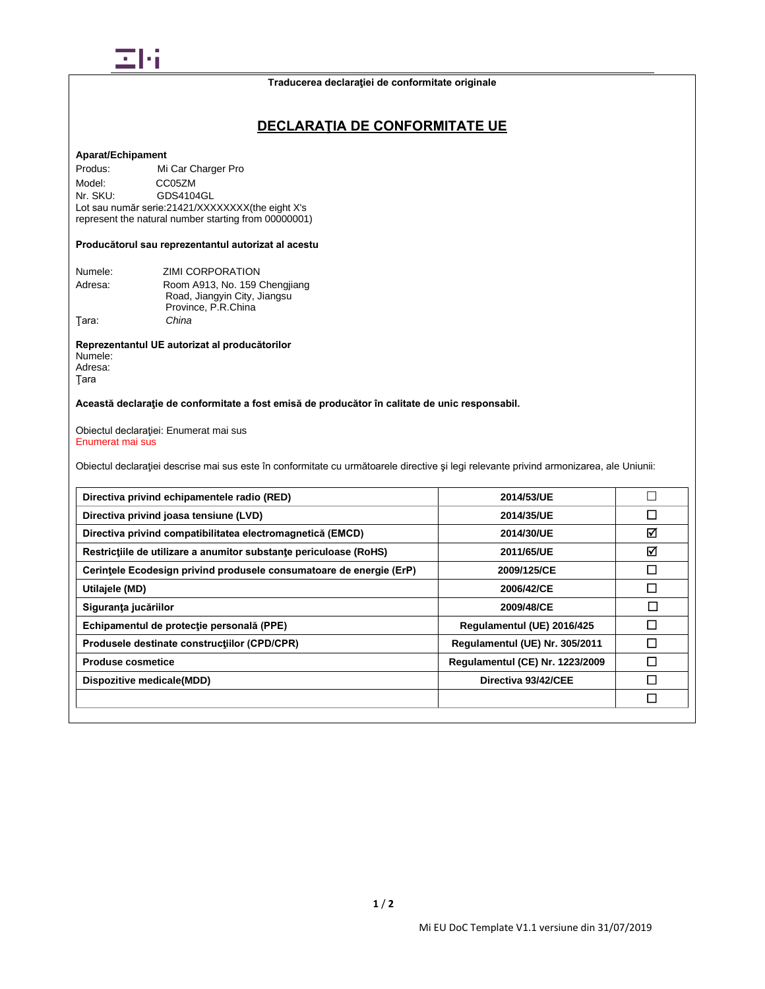

## **DECLARAŢIA DE CONFORMITATE UE**

### **Aparat/Echipament**

Produs: Mi Car Charger Pro Model: CC05ZM<br>Nr. SKU: GDS4104 GDS4104GL Lot sau număr serie:21421/XXXXXXXX(the eight X's represent the natural number starting from 00000001)

## **Producătorul sau reprezentantul autorizat al acestu**

| Numele: | ZIMI CORPORATION              |
|---------|-------------------------------|
| Adresa: | Room A913, No. 159 Chengjiang |
|         | Road, Jiangyin City, Jiangsu  |
|         | Province, P.R.China           |
| Tara:   | China                         |

#### **Reprezentantul UE autorizat al producătorilor** Numele: Adresa:

Ţara

## **Această declaraţie de conformitate a fost emisă de producător în calitate de unic responsabil.**

Obiectul declaraţiei: Enumerat mai sus Enumerat mai sus

Obiectul declaraţiei descrise mai sus este în conformitate cu următoarele directive şi legi relevante privind armonizarea, ale Uniunii:

| Directiva privind echipamentele radio (RED)                         | 2014/53/UE                      |   |
|---------------------------------------------------------------------|---------------------------------|---|
| Directiva privind joasa tensiune (LVD)                              | 2014/35/UE                      | П |
| Directiva privind compatibilitatea electromagnetică (EMCD)          | 2014/30/UE                      | ☑ |
| Restrictiile de utilizare a anumitor substante periculoase (RoHS)   | 2011/65/UE                      | ☑ |
| Cerintele Ecodesign privind produsele consumatoare de energie (ErP) | 2009/125/CE                     | П |
| Utilajele (MD)                                                      | 2006/42/CE                      | П |
| Siguranța jucăriilor                                                | 2009/48/CE                      | □ |
| Echipamentul de protecție personală (PPE)                           | Regulamentul (UE) 2016/425      | П |
| Produsele destinate constructiilor (CPD/CPR)                        | Regulamentul (UE) Nr. 305/2011  |   |
| <b>Produse cosmetice</b>                                            | Regulamentul (CE) Nr. 1223/2009 |   |
| Dispozitive medicale(MDD)                                           | Directiva 93/42/CEE             |   |
|                                                                     |                                 | П |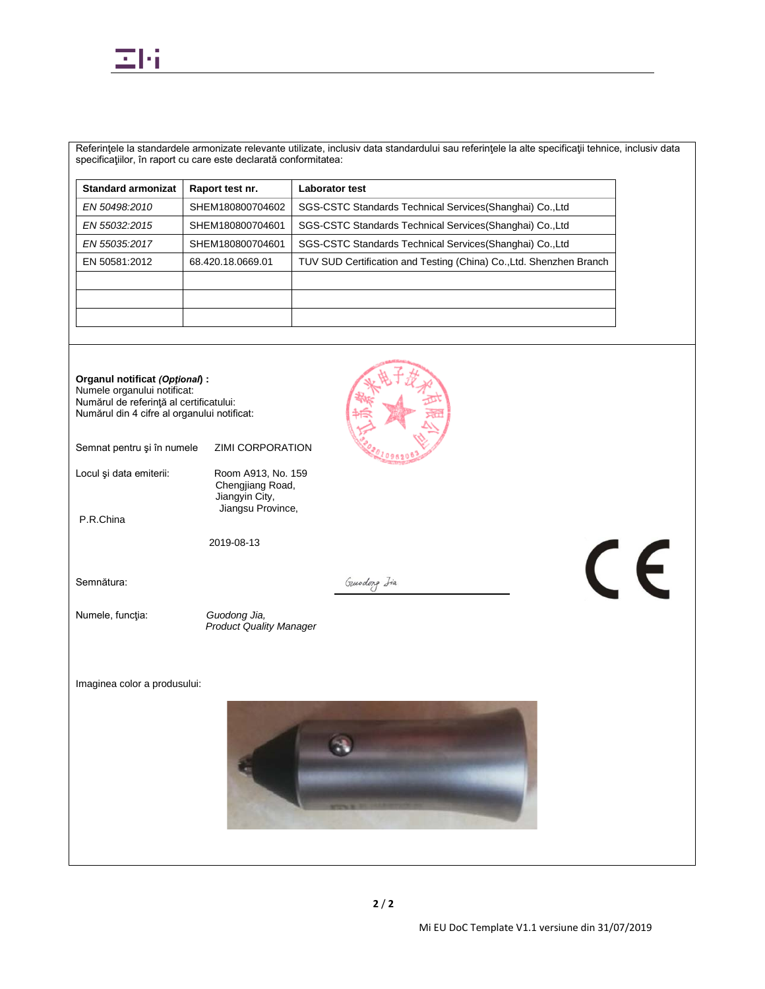

Referinţele la standardele armonizate relevante utilizate, inclusiv data standardului sau referinţele la alte specificaţii tehnice, inclusiv data specificaţiilor, în raport cu care este declarată conformitatea:

| <b>Standard armonizat</b> | Raport test nr.   | <b>Laborator test</b>                                               |
|---------------------------|-------------------|---------------------------------------------------------------------|
| EN 50498:2010             | SHEM180800704602  | SGS-CSTC Standards Technical Services (Shanghai) Co., Ltd           |
| EN 55032:2015             | SHEM180800704601  | SGS-CSTC Standards Technical Services (Shanghai) Co., Ltd           |
| EN 55035:2017             | SHEM180800704601  | SGS-CSTC Standards Technical Services (Shanghai) Co., Ltd           |
| EN 50581:2012             | 68.420.18.0669.01 | TUV SUD Certification and Testing (China) Co., Ltd. Shenzhen Branch |
|                           |                   |                                                                     |
|                           |                   |                                                                     |
|                           |                   |                                                                     |

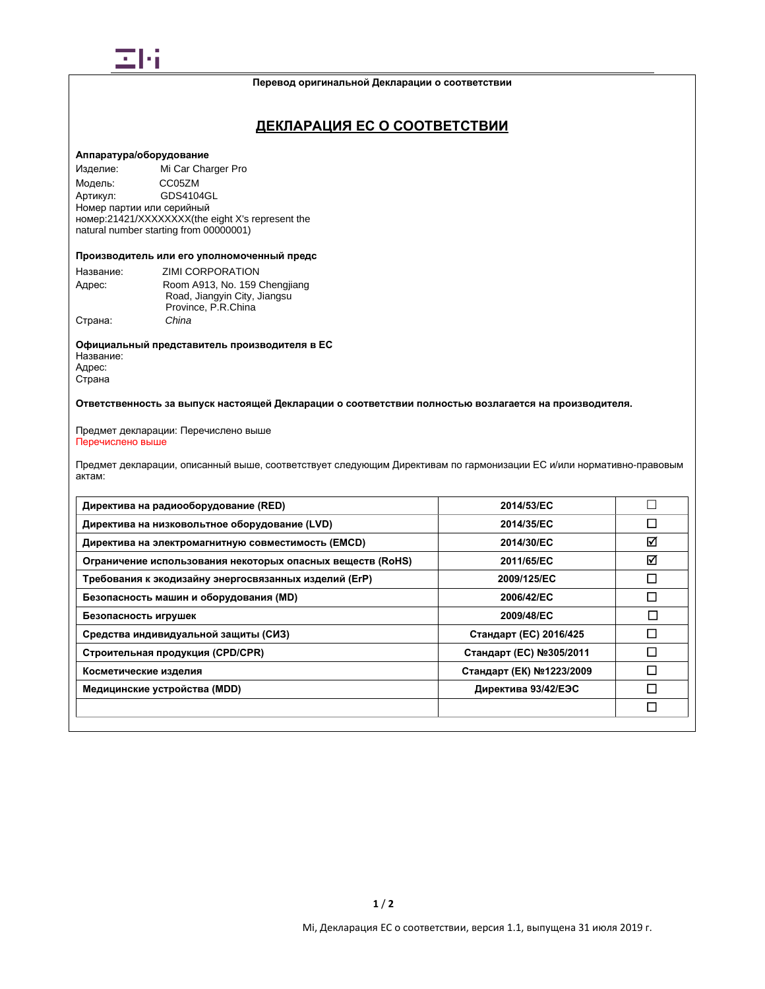

### **Перевод оригинальной Декларации о соответствии**

## **ДЕКЛАРАЦИЯ ЕС О СООТВЕТСТВИИ**

## **Аппаратура/оборудование**

Изделие: Mi Car Charger Pro Модель: CC05ZM<br>Артикул: GDS410 GDS4104GL Номер партии или серийный номер:21421/XXXXXXXX(the eight X's represent the natural number starting from 00000001)

### **Производитель или его уполномоченный предс**

| Название: | ZIMI CORPORATION              |
|-----------|-------------------------------|
| Адрес:    | Room A913, No. 159 Chengjiang |
|           | Road, Jiangyin City, Jiangsu  |
|           | Province, P.R.China           |
| Страна:   | China                         |

**Официальный представитель производителя в ЕС** Название: Адрес: Страна

## **Ответственность за выпуск настоящей Декларации о соответствии полностью возлагается на производителя.**

#### Предмет декларации: Перечислено выше Перечислено выше

Предмет декларации, описанный выше, соответствует следующим Директивам по гармонизации ЕС и/или нормативно-правовым актам:

| Директива на радиооборудование (RED)                       | 2014/53/EC               |              |
|------------------------------------------------------------|--------------------------|--------------|
| Директива на низковольтное оборудование (LVD)              | 2014/35/EC               | □            |
| Директива на электромагнитную совместимость (EMCD)         | 2014/30/EC               | ☑            |
| Ограничение использования некоторых опасных веществ (RoHS) | 2011/65/EC               | ☑            |
| Требования к экодизайну энергосвязанных изделий (ErP)      | 2009/125/EC              | $\Box$       |
| Безопасность машин и оборудования (MD)                     | 2006/42/EC               | $\mathsf{L}$ |
| Безопасность игрушек                                       | 2009/48/EC               | $\sim$       |
| Средства индивидуальной защиты (СИЗ)                       | Стандарт (ЕС) 2016/425   | $\Box$       |
| Строительная продукция (CPD/CPR)                           | Стандарт (ЕС) №305/2011  |              |
| Косметические изделия                                      | Стандарт (ЕК) №1223/2009 |              |
| Медицинские устройства (MDD)                               | Директива 93/42/ЕЭС      |              |
|                                                            |                          | □            |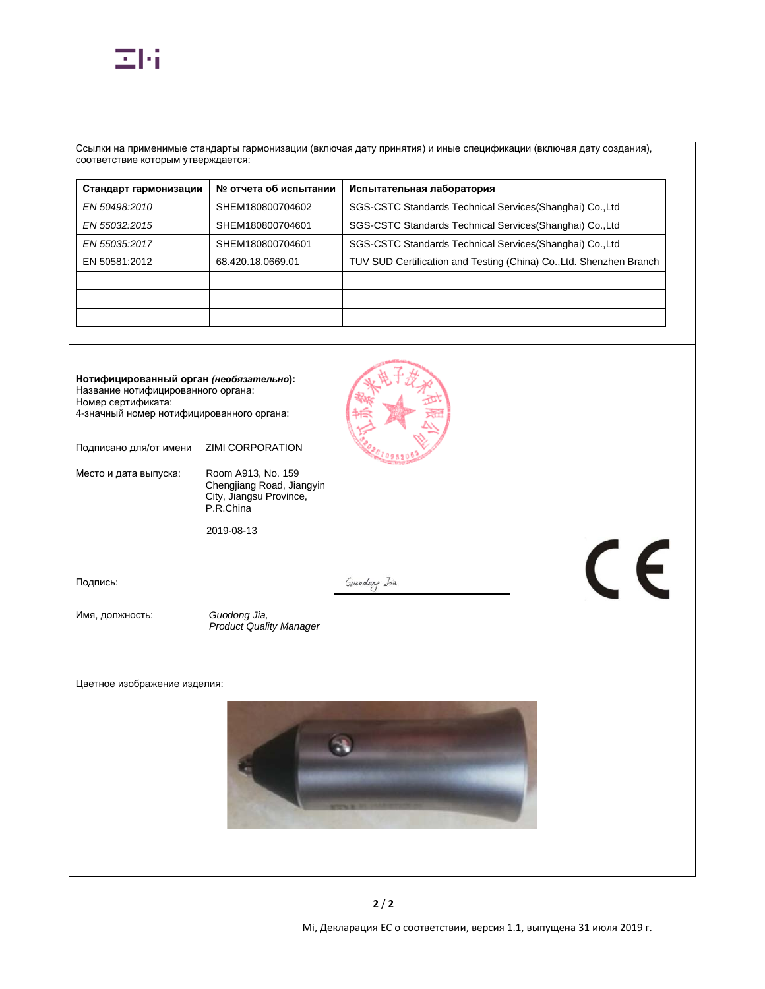

Ссылки на применимые стандарты гармонизации (включая дату принятия) и иные спецификации (включая дату создания), соответствие которым утверждается:

| № отчета об испытании | Испытательная лаборатория                                           |
|-----------------------|---------------------------------------------------------------------|
| SHEM180800704602      | SGS-CSTC Standards Technical Services (Shanghai) Co., Ltd           |
| SHEM180800704601      | SGS-CSTC Standards Technical Services (Shanghai) Co., Ltd           |
| SHEM180800704601      | SGS-CSTC Standards Technical Services (Shanghai) Co., Ltd           |
| 68.420.18.0669.01     | TUV SUD Certification and Testing (China) Co., Ltd. Shenzhen Branch |
|                       |                                                                     |
|                       |                                                                     |
|                       |                                                                     |
|                       |                                                                     |



Mi, Декларация ЕС о соответствии, версия 1.1, выпущена 31 июля 2019 г.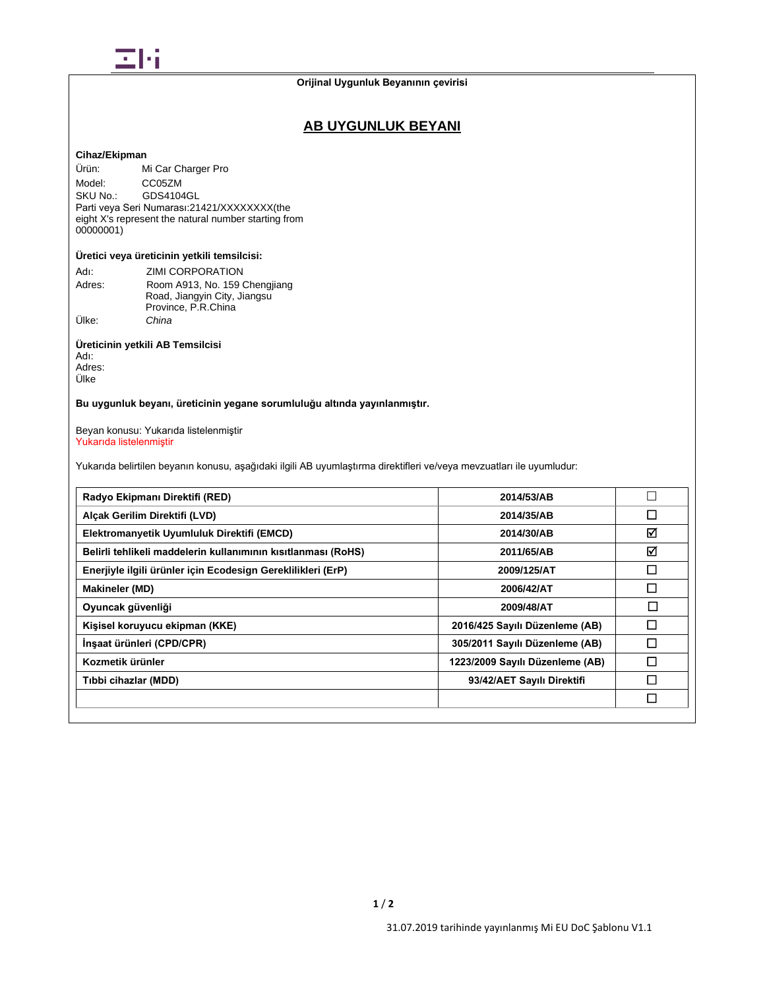

## **Orijinal Uygunluk Beyanının çevirisi**

## **AB UYGUNLUK BEYANI**

## **Cihaz/Ekipman**

Ürün: Mi Car Charger Pro Model: CC05ZM<br>SKU No.: GDS4104 GDS4104GL Parti veya Seri Numarası: 21421/XXXXXXXX(the eight X's represent the natural number starting from 00000001)

## **Üretici veya üreticinin yetkili temsilcisi:**

| Adı:   | ZIMI CORPORATION              |
|--------|-------------------------------|
| Adres: | Room A913, No. 159 Chengjiang |
|        | Road, Jiangyin City, Jiangsu  |
|        | Province, P.R.China           |
| Ülke:  | China                         |

## **Üreticinin yetkili AB Temsilcisi**

Adı: Adres: Ülke

## **Bu uygunluk beyanı, üreticinin yegane sorumluluğu altında yayınlanmıştır.**

Beyan konusu: Yukarıda listelenmiştir Yukarıda listelenmiştir

Yukarıda belirtilen beyanın konusu, aşağıdaki ilgili AB uyumlaştırma direktifleri ve/veya mevzuatları ile uyumludur:

| Radyo Ekipmanı Direktifi (RED)                                | 2014/53/AB                      | $\overline{\phantom{a}}$ |
|---------------------------------------------------------------|---------------------------------|--------------------------|
| Alcak Gerilim Direktifi (LVD)                                 | 2014/35/AB                      | □                        |
| Elektromanyetik Uyumluluk Direktifi (EMCD)                    | 2014/30/AB                      | ☑                        |
| Belirli tehlikeli maddelerin kullanımının kısıtlanması (RoHS) | 2011/65/AB                      | ☑                        |
| Enerjiyle ilgili ürünler için Ecodesign Gereklilikleri (ErP)  | 2009/125/AT                     | □                        |
| <b>Makineler (MD)</b>                                         | 2006/42/AT                      | □                        |
| Oyuncak güvenliği                                             | 2009/48/AT                      | $\Box$                   |
| Kişisel koruyucu ekipman (KKE)                                | 2016/425 Sayılı Düzenleme (AB)  | П                        |
| İnşaat ürünleri (CPD/CPR)                                     | 305/2011 Sayılı Düzenleme (AB)  | П                        |
| Kozmetik ürünler                                              | 1223/2009 Sayılı Düzenleme (AB) | П                        |
| Tibbi cihazlar (MDD)                                          | 93/42/AET Sayılı Direktifi      | П                        |
|                                                               |                                 | П                        |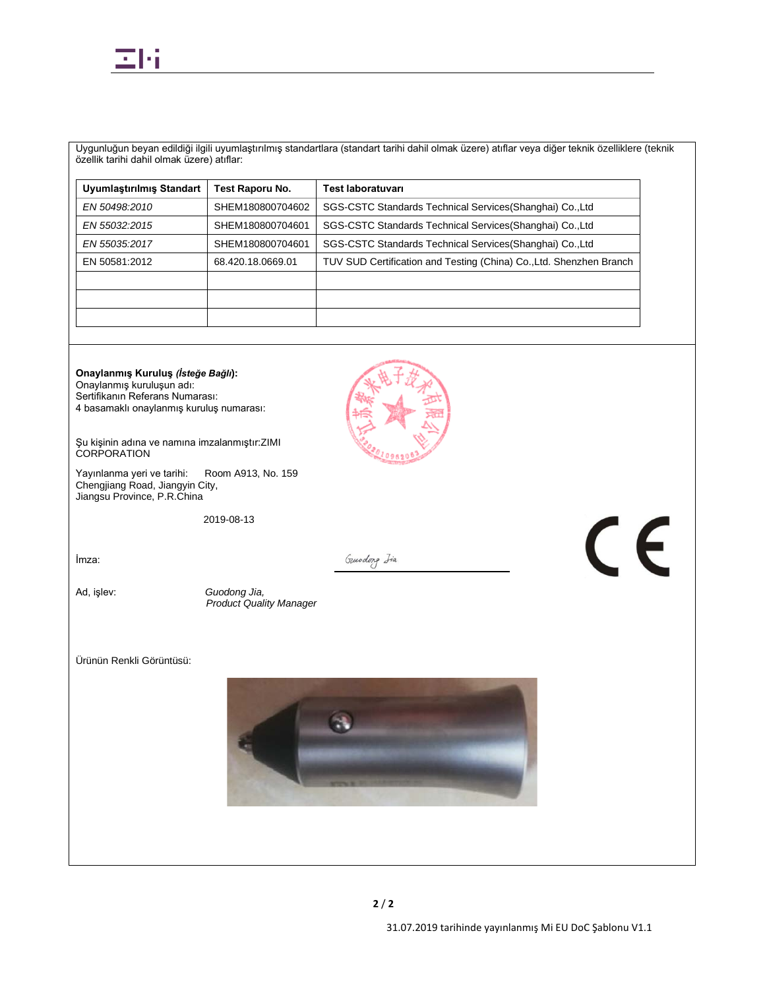

Uygunluğun beyan edildiği ilgili uyumlaştırılmış standartlara (standart tarihi dahil olmak üzere) atıflar veya diğer teknik özelliklere (teknik özellik tarihi dahil olmak üzere) atıflar:

| Uyumlaştırılmış Standart | Test Raporu No.   | <b>Test laboratuvari</b>                                            |
|--------------------------|-------------------|---------------------------------------------------------------------|
| EN 50498:2010            | SHEM180800704602  | SGS-CSTC Standards Technical Services (Shanghai) Co., Ltd           |
| EN 55032:2015            | SHEM180800704601  | SGS-CSTC Standards Technical Services (Shanghai) Co., Ltd           |
| EN 55035.2017            | SHEM180800704601  | SGS-CSTC Standards Technical Services (Shanghai) Co., Ltd           |
| EN 50581:2012            | 68.420.18.0669.01 | TUV SUD Certification and Testing (China) Co., Ltd. Shenzhen Branch |
|                          |                   |                                                                     |
|                          |                   |                                                                     |
|                          |                   |                                                                     |

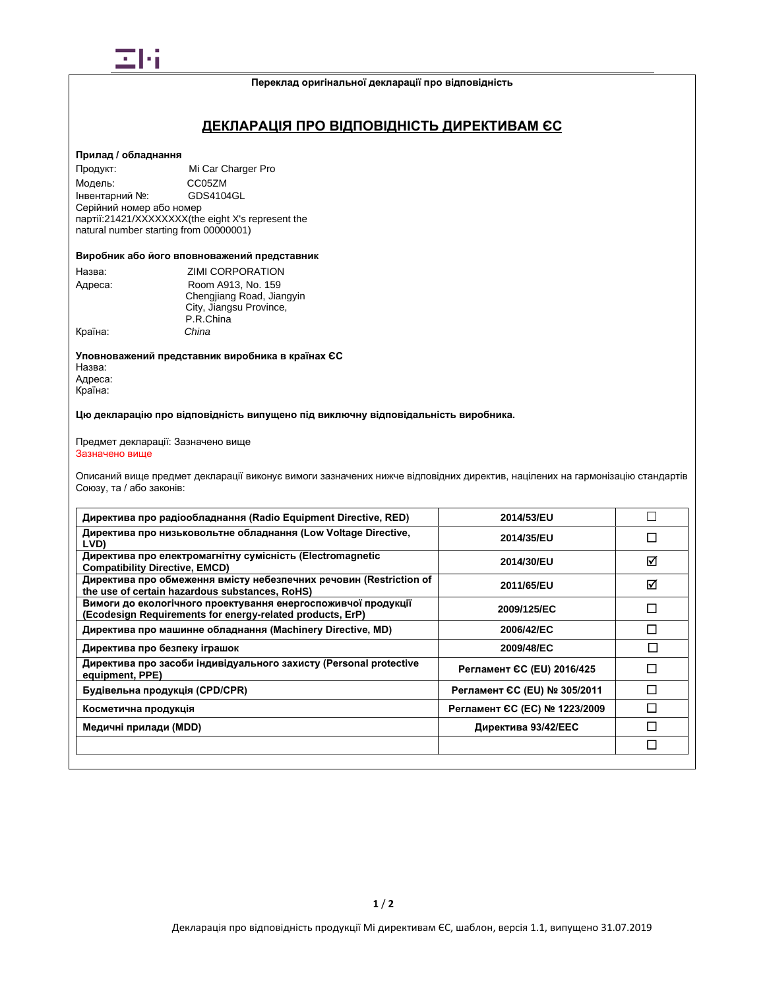

### **Переклад оригінальної декларації про відповідність**

## **ДЕКЛАРАЦІЯ ПРО ВІДПОВІДНІСТЬ ДИРЕКТИВАМ ЄС**

## **Прилад / обладнання**

Продукт: Mi Car Charger Pro Модель: CC05ZM<br>Інвентарний №: GDS4104GL Інвентарний №: Серійний номер або номер партії:21421/XXXXXXXX(the eight X's represent the natural number starting from 00000001)

### **Виробник або його вповноважений представник**

| Назва:  | <b>ZIMI CORPORATION</b>   |
|---------|---------------------------|
| Адреса: | Room A913, No. 159        |
|         | Chengjiang Road, Jiangyin |
|         | City, Jiangsu Province,   |
|         | P.R.China                 |
| Країна: | China                     |

**Уповноважений представник виробника в країнах ЄС** Назва: Адреса: Країна:

**Цю декларацію про відповідність випущено під виключну відповідальність виробника.**

#### Предмет декларації: Зазначено вище Зазначено вище

Описаний вище предмет декларації виконує вимоги зазначених нижче відповідних директив, націлених на гармонізацію стандартів Союзу, та / або законів:

| Директива про радіообладнання (Radio Equipment Directive, RED)                                                             | 2014/53/EU                    |   |
|----------------------------------------------------------------------------------------------------------------------------|-------------------------------|---|
| Директива про низьковольтне обладнання (Low Voltage Directive,<br>LVD)                                                     | 2014/35/EU                    |   |
| Директива про електромагнітну сумісність (Electromagnetic<br><b>Compatibility Directive, EMCD)</b>                         | 2014/30/EU                    | ⊠ |
| Директива про обмеження вмісту небезпечних речовин (Restriction of<br>the use of certain hazardous substances, RoHS)       | 2011/65/EU                    | ⊠ |
| Вимоги до екологічного проектування енергоспоживчої продукції<br>(Ecodesign Requirements for energy-related products, ErP) | 2009/125/EC                   | П |
| Директива про машинне обладнання (Machinery Directive, MD)                                                                 | 2006/42/EC                    | П |
| Директива про безпеку іграшок                                                                                              | 2009/48/EC                    |   |
| Директива про засоби індивідуального захисту (Personal protective<br>equipment, PPE)                                       | Регламент СС (EU) 2016/425    |   |
| Будівельна продукція (CPD/CPR)                                                                                             | Регламент ЄС (EU) № 305/2011  |   |
| Косметична продукція                                                                                                       | Регламент ЄС (ЕС) № 1223/2009 |   |
| Медичні прилади (MDD)                                                                                                      | Директива 93/42/ЕЕС           |   |
|                                                                                                                            |                               | П |